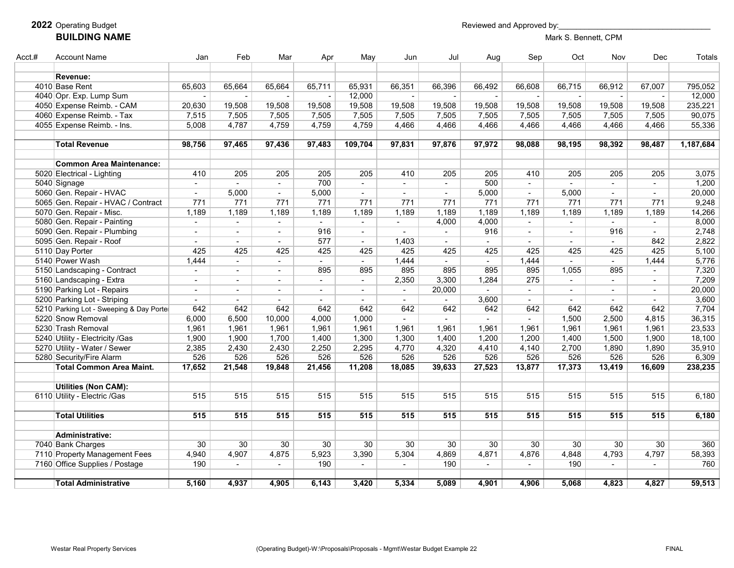#### Operating Budget **Reviewed and Approved by: BUILDING NAME** Mark S. Bennett, CPM

| Acct.# | <b>Account Name</b>                      | Jan            | Feb                      | Mar                      | Apr                 | May            | Jun            | Jul                 | Aug                         | Sep    | Oct            | Nov    | Dec                      | <b>Totals</b> |
|--------|------------------------------------------|----------------|--------------------------|--------------------------|---------------------|----------------|----------------|---------------------|-----------------------------|--------|----------------|--------|--------------------------|---------------|
|        |                                          |                |                          |                          |                     |                |                |                     |                             |        |                |        |                          |               |
|        | Revenue:                                 |                |                          |                          |                     |                |                |                     |                             |        |                |        |                          |               |
|        | 4010 Base Rent                           | 65,603         | 65,664                   | 65,664                   | 65,711              | 65,931         | 66,351         | 66,396              | 66,492                      | 66,608 | 66,715         | 66,912 | 67,007                   | 795,052       |
|        | 4040 Opr. Exp. Lump Sum                  | $\sim$         |                          |                          |                     | 12,000         |                |                     | $\sim$                      |        |                |        |                          | 12,000        |
|        | 4050 Expense Reimb. - CAM                | 20,630         | 19,508                   | 19,508                   | 19,508              | 19,508         | 19,508         | 19,508              | 19,508                      | 19,508 | 19,508         | 19,508 | 19,508                   | 235,221       |
|        | 4060 Expense Reimb. - Tax                | 7,515          | 7,505                    | 7,505                    | 7,505               | 7,505          | 7,505          | 7,505               | 7,505                       | 7,505  | 7,505          | 7,505  | 7,505                    | 90,075        |
|        | 4055 Expense Reimb. - Ins.               | 5,008          | 4,787                    | 4,759                    | 4,759               | 4,759          | 4,466          | 4,466               | 4,466                       | 4,466  | 4,466          | 4,466  | 4,466                    | 55,336        |
|        | <b>Total Revenue</b>                     | 98,756         | 97,465                   | 97,436                   | 97,483              | 109,704        | 97,831         | 97,876              | 97,972                      | 98,088 | 98,195         | 98,392 | 98,487                   | 1,187,684     |
|        |                                          |                |                          |                          |                     |                |                |                     |                             |        |                |        |                          |               |
|        | <b>Common Area Maintenance:</b>          |                |                          |                          |                     |                |                |                     |                             |        |                |        |                          |               |
|        | 5020 Electrical - Lighting               | 410            | 205                      | 205                      | 205                 | 205            | 410            | 205                 | 205                         | 410    | 205            | 205    | 205                      | 3,075         |
|        | 5040 Signage                             | $\sim$         | $\sim$                   | $\sim$                   | 700                 | $\sim$         | $\overline{a}$ | $\sim$              | 500                         | $\sim$ | $\overline{a}$ | $\sim$ | $\sim$                   | 1,200         |
|        | 5060 Gen. Repair - HVAC                  |                | 5,000                    | $\blacksquare$           | 5,000               | $\sim$         |                | $\blacksquare$      | 5,000                       | $\sim$ | 5,000          |        | $\sim$                   | 20,000        |
|        | 5065 Gen. Repair - HVAC / Contract       | 771            | 771                      | 771                      | 771                 | 771            | 771            | 771                 | 771                         | 771    | 771            | 771    | 771                      | 9,248         |
|        | 5070 Gen. Repair - Misc.                 | 1,189          | 1,189                    | 1,189                    | 1,189               | 1,189          | 1,189          | 1,189               | 1,189                       | 1,189  | 1,189          | 1,189  | 1,189                    | 14,266        |
|        | 5080 Gen. Repair - Painting              | $\sim$         | $\sim$                   | $\sim$                   | $\sim$ $-$          | $\sim$         | $\sim$         | 4,000               | 4,000                       | $\sim$ | $\mathbf{r}$   | $\sim$ | $\sim$                   | 8,000         |
|        | 5090 Gen. Repair - Plumbing              | $\sim$         |                          | $\sim$                   | 916                 | $\blacksquare$ |                | $\sim$              | 916                         | $\sim$ | $\blacksquare$ | 916    | $\overline{\phantom{a}}$ | 2,748         |
|        | 5095 Gen. Repair - Roof                  | $\sim$         | $\overline{\phantom{a}}$ | $\blacksquare$           | 577                 | $\sim$         | 1,403          | $\sim$              | $\sim$                      | $\sim$ | $\blacksquare$ | $\sim$ | 842                      | 2,822         |
|        | 5110 Day Porter                          | 425            | 425                      | 425                      | 425                 | 425            | 425            | 425                 | 425                         | 425    | 425            | 425    | 425                      | 5,100         |
|        | 5140 Power Wash                          | 1,444          | $\mathbf{r}$             | $\overline{\phantom{a}}$ | $\mathcal{L}^{\pm}$ | $\blacksquare$ | 1,444          | $\mathcal{L}^{\pm}$ | $\mathcal{L}^{\mathcal{L}}$ | 1,444  | $\mathbf{r}$   | $\sim$ | 1,444                    | 5,776         |
|        | 5150 Landscaping - Contract              | $\sim$         | $\sim$                   | $\sim$                   | 895                 | 895            | 895            | 895                 | 895                         | 895    | 1,055          | 895    | $\overline{\phantom{a}}$ | 7,320         |
|        | 5160 Landscaping - Extra                 | $\sim$         | $\blacksquare$           | $\sim$                   | $\sim$              | $\sim$         | 2,350          | 3,300               | 1,284                       | 275    | $\mathbf{r}$   | $\sim$ | $\sim$                   | 7,209         |
|        | 5190 Parking Lot - Repairs               |                |                          | $\blacksquare$           | $\overline{a}$      |                | $\blacksquare$ | 20,000              |                             | $\sim$ |                |        | $\sim$                   | 20,000        |
|        | 5200 Parking Lot - Striping              | $\blacksquare$ | $\overline{\phantom{a}}$ | $\blacksquare$           | $\blacksquare$      | $\blacksquare$ | $\blacksquare$ | $\blacksquare$      | 3,600                       | $\sim$ |                | $\sim$ | $\sim$                   | 3,600         |
|        | 5210 Parking Lot - Sweeping & Day Porter | 642            | 642                      | 642                      | 642                 | 642            | 642            | 642                 | 642                         | 642    | 642            | 642    | 642                      | 7,704         |
|        | 5220 Snow Removal                        | 6,000          | 6,500                    | 10,000                   | 4,000               | 1,000          | $\overline{a}$ | $\overline{a}$      | $\sim$                      | $\sim$ | 1,500          | 2,500  | 4,815                    | 36,315        |
|        | 5230 Trash Removal                       | 1,961          | 1,961                    | 1,961                    | 1,961               | 1,961          | 1,961          | 1,961               | 1,961                       | 1,961  | 1,961          | 1,961  | 1,961                    | 23,533        |
|        | 5240 Utility - Electricity /Gas          | 1,900          | 1,900                    | 1,700                    | 1,400               | 1,300          | 1,300          | 1,400               | 1,200                       | 1,200  | 1,400          | 1,500  | 1,900                    | 18,100        |
|        | 5270 Utility - Water / Sewer             | 2,385          | 2,430                    | 2,430                    | 2,250               | 2,295          | 4,770          | 4,320               | 4,410                       | 4,140  | 2,700          | 1,890  | 1,890                    | 35,910        |
|        | 5280 Security/Fire Alarm                 | 526            | 526                      | 526                      | 526                 | 526            | 526            | 526                 | 526                         | 526    | 526            | 526    | 526                      | 6,309         |
|        | <b>Total Common Area Maint.</b>          | 17,652         | 21,548                   | 19,848                   | 21,456              | 11,208         | 18,085         | 39,633              | 27,523                      | 13,877 | 17,373         | 13,419 | 16,609                   | 238,235       |
|        |                                          |                |                          |                          |                     |                |                |                     |                             |        |                |        |                          |               |
|        | <b>Utilities (Non CAM):</b>              |                |                          |                          |                     |                |                |                     |                             |        |                |        |                          |               |
|        | 6110 Utility - Electric /Gas             | 515            | 515                      | 515                      | 515                 | 515            | 515            | 515                 | 515                         | 515    | 515            | 515    | 515                      | 6,180         |
|        |                                          |                |                          |                          |                     |                |                |                     |                             |        |                |        |                          |               |
|        | <b>Total Utilities</b>                   | 515            | 515                      | 515                      | 515                 | 515            | 515            | 515                 | 515                         | 515    | 515            | 515    | 515                      | 6,180         |
|        |                                          |                |                          |                          |                     |                |                |                     |                             |        |                |        |                          |               |
|        | <b>Administrative:</b>                   |                |                          |                          |                     |                |                |                     |                             |        |                |        |                          |               |
|        | 7040 Bank Charges                        | 30             | 30                       | 30                       | 30                  | 30             | 30             | 30                  | 30                          | 30     | 30             | 30     | 30                       | 360           |
|        | 7110 Property Management Fees            | 4,940          | 4,907                    | 4,875                    | 5,923               | 3,390          | 5,304          | 4,869               | 4,871                       | 4,876  | 4,848          | 4,793  | 4,797                    | 58,393        |
|        | 7160 Office Supplies / Postage           | 190            | $\overline{\phantom{a}}$ | $\overline{\phantom{a}}$ | 190                 | $\blacksquare$ | $\blacksquare$ | 190                 | $\sim$                      | $\sim$ | 190            | $\sim$ | $\sim$                   | 760           |
|        | <b>Total Administrative</b>              | 5,160          | 4,937                    | 4,905                    | 6,143               | 3,420          | 5,334          | 5,089               | 4,901                       | 4,906  | 5,068          | 4,823  | 4,827                    | 59,513        |
|        |                                          |                |                          |                          |                     |                |                |                     |                             |        |                |        |                          |               |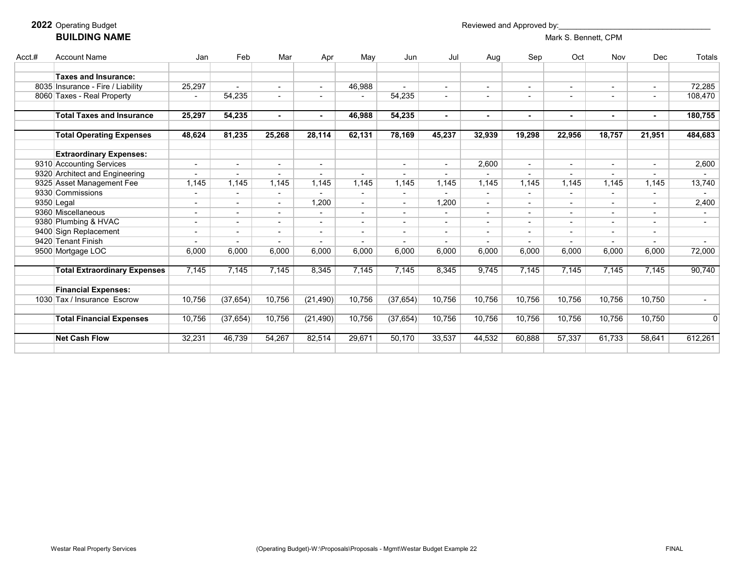#### **2022** Operating Budget **Reviewed and Approved by: BUILDING NAME** Mark S. Bennett, CPM

| Acct.# | <b>Account Name</b>                 | Jan                      | Feb       | Mar                      | Apr                      | May                      | Jun                      | Jul                      | Aug                      | Sep            | Oct                      | Nov    | Dec                      | <b>Totals</b>            |
|--------|-------------------------------------|--------------------------|-----------|--------------------------|--------------------------|--------------------------|--------------------------|--------------------------|--------------------------|----------------|--------------------------|--------|--------------------------|--------------------------|
|        | <b>Taxes and Insurance:</b>         |                          |           |                          |                          |                          |                          |                          |                          |                |                          |        |                          |                          |
|        | 8035 Insurance - Fire / Liability   | 25,297                   |           | ٠                        |                          | 46,988                   |                          |                          | $\sim$                   |                | ٠                        |        | $\overline{\phantom{a}}$ | 72,285                   |
|        | 8060 Taxes - Real Property          |                          | 54,235    | ٠                        |                          |                          | 54,235                   |                          | $\overline{\phantom{a}}$ |                |                          |        | $\overline{\phantom{a}}$ | 108,470                  |
|        |                                     |                          |           |                          |                          |                          |                          |                          |                          |                |                          |        |                          |                          |
|        | <b>Total Taxes and Insurance</b>    | 25,297                   | 54,235    | $\sim$                   |                          | 46,988                   | 54,235                   | $\blacksquare$           | $\sim$                   |                | $\blacksquare$           |        | $\blacksquare$           | 180,755                  |
|        | <b>Total Operating Expenses</b>     | 48,624                   | 81,235    | 25,268                   | 28,114                   | 62,131                   | 78,169                   | 45,237                   | 32,939                   | 19,298         | 22,956                   | 18,757 | 21,951                   | 484,683                  |
|        |                                     |                          |           |                          |                          |                          |                          |                          |                          |                |                          |        |                          |                          |
|        | <b>Extraordinary Expenses:</b>      |                          |           |                          |                          |                          |                          |                          |                          |                |                          |        |                          |                          |
|        | 9310 Accounting Services            | $\overline{\phantom{a}}$ |           | $\blacksquare$           |                          |                          | $\overline{\phantom{0}}$ | $\overline{\phantom{0}}$ | 2,600                    |                | $\blacksquare$           |        | $\overline{\phantom{a}}$ | 2,600                    |
|        | 9320 Architect and Engineering      | $\overline{\phantom{a}}$ |           | $\overline{\phantom{0}}$ |                          | $\overline{\phantom{a}}$ | $\blacksquare$           |                          |                          |                | $\overline{\phantom{a}}$ |        |                          |                          |
|        | 9325 Asset Management Fee           | 1,145                    | 1.145     | 1,145                    | 1,145                    | 1,145                    | 1,145                    | 1.145                    | 1,145                    | 1,145          | 1.145                    | 1,145  | 1,145                    | 13,740                   |
|        | 9330 Commissions                    |                          |           | $\blacksquare$           |                          |                          |                          |                          |                          |                |                          |        | $\overline{\phantom{a}}$ |                          |
|        | 9350 Legal                          | $\overline{\phantom{a}}$ |           | $\sim$                   | 1,200                    | $\overline{\phantom{a}}$ | $\blacksquare$           | 1,200                    | $\sim$                   |                | $\overline{\phantom{0}}$ |        | $\sim$                   | 2,400                    |
|        | 9360 Miscellaneous                  | $\overline{\phantom{a}}$ |           | $\blacksquare$           |                          |                          |                          |                          | $\overline{\phantom{a}}$ |                |                          |        |                          |                          |
|        | 9380 Plumbing & HVAC                | $\overline{\phantom{a}}$ |           | ٠                        | $\overline{\phantom{a}}$ | $\overline{\phantom{a}}$ | $\overline{\phantom{a}}$ | $\overline{\phantom{a}}$ | $\overline{\phantom{a}}$ | $\blacksquare$ | $\overline{\phantom{a}}$ |        | $\overline{\phantom{a}}$ | $\overline{\phantom{a}}$ |
|        | 9400 Sign Replacement               | $\overline{\phantom{a}}$ |           | $\overline{a}$           |                          | $\overline{\phantom{0}}$ | ä,                       | $\sim$                   | $\overline{\phantom{a}}$ |                | $\overline{\phantom{a}}$ |        | $\overline{\phantom{a}}$ |                          |
|        | 9420 Tenant Finish                  |                          |           |                          |                          |                          |                          |                          |                          |                |                          |        |                          |                          |
|        | 9500 Mortgage LOC                   | 6,000                    | 6.000     | 6.000                    | 6.000                    | 6.000                    | 6.000                    | 6.000                    | 6.000                    | 6.000          | 6.000                    | 6.000  | 6.000                    | 72,000                   |
|        | <b>Total Extraordinary Expenses</b> | 7,145                    | 7,145     | 7,145                    | 8,345                    | 7,145                    | 7,145                    | 8,345                    | 9,745                    | 7,145          | 7,145                    | 7,145  | 7,145                    | 90,740                   |
|        | <b>Financial Expenses:</b>          |                          |           |                          |                          |                          |                          |                          |                          |                |                          |        |                          |                          |
|        | 1030 Tax / Insurance Escrow         | 10,756                   | (37, 654) | 10,756                   | (21, 490)                | 10,756                   | (37, 654)                | 10,756                   | 10,756                   | 10,756         | 10,756                   | 10.756 | 10.750                   | $\overline{\phantom{a}}$ |
|        | <b>Total Financial Expenses</b>     | 10,756                   | (37, 654) | 10,756                   | (21, 490)                | 10,756                   | (37, 654)                | 10,756                   | 10,756                   | 10,756         | 10,756                   | 10,756 | 10,750                   | $\mathbf{0}$             |
|        | <b>Net Cash Flow</b>                | 32,231                   | 46,739    | 54,267                   | 82,514                   | 29,671                   | 50,170                   | 33,537                   | 44,532                   | 60,888         | 57,337                   | 61,733 | 58,641                   | 612,261                  |
|        |                                     |                          |           |                          |                          |                          |                          |                          |                          |                |                          |        |                          |                          |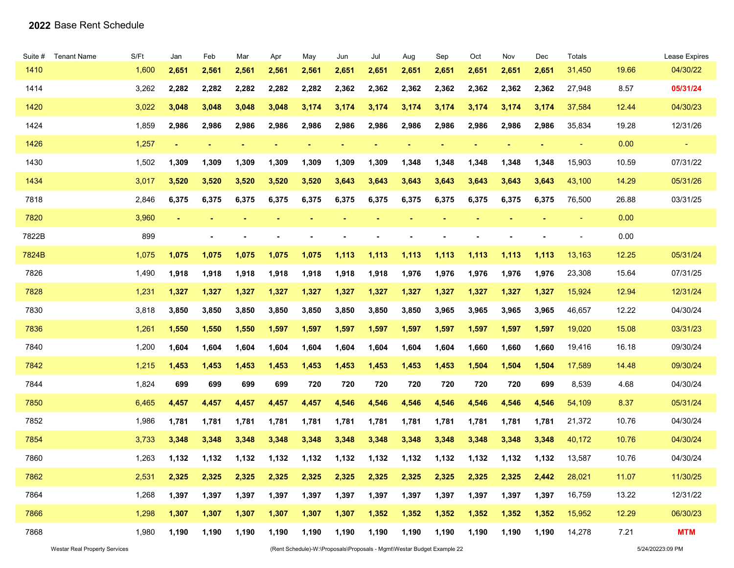| Suite # | <b>Tenant Name</b> | S/Ft  | Jan   | Feb   | Mar   | Apr   | May   | Jun   | Jul   | Aug   | Sep   | Oct   | Nov   | Dec   | Totals                   |       | Lease Expires  |
|---------|--------------------|-------|-------|-------|-------|-------|-------|-------|-------|-------|-------|-------|-------|-------|--------------------------|-------|----------------|
| 1410    |                    | 1,600 | 2,651 | 2,561 | 2,561 | 2,561 | 2,561 | 2,651 | 2,651 | 2,651 | 2,651 | 2,651 | 2,651 | 2,651 | 31,450                   | 19.66 | 04/30/22       |
| 1414    |                    | 3,262 | 2,282 | 2,282 | 2,282 | 2,282 | 2,282 | 2,362 | 2,362 | 2,362 | 2,362 | 2,362 | 2,362 | 2,362 | 27,948                   | 8.57  | 05/31/24       |
| 1420    |                    | 3,022 | 3,048 | 3,048 | 3,048 | 3,048 | 3,174 | 3,174 | 3,174 | 3,174 | 3,174 | 3,174 | 3,174 | 3,174 | 37,584                   | 12.44 | 04/30/23       |
| 1424    |                    | 1,859 | 2,986 | 2,986 | 2,986 | 2,986 | 2,986 | 2,986 | 2,986 | 2,986 | 2,986 | 2,986 | 2,986 | 2,986 | 35,834                   | 19.28 | 12/31/26       |
| 1426    |                    | 1,257 |       |       |       |       |       |       |       |       |       |       |       |       | ٠                        | 0.00  | $\blacksquare$ |
| 1430    |                    | 1,502 | 1,309 | 1,309 | 1,309 | 1,309 | 1,309 | 1,309 | 1,309 | 1,348 | 1,348 | 1,348 | 1,348 | 1,348 | 15,903                   | 10.59 | 07/31/22       |
| 1434    |                    | 3,017 | 3,520 | 3,520 | 3,520 | 3,520 | 3,520 | 3,643 | 3,643 | 3,643 | 3,643 | 3,643 | 3,643 | 3,643 | 43,100                   | 14.29 | 05/31/26       |
| 7818    |                    | 2,846 | 6,375 | 6,375 | 6,375 | 6,375 | 6,375 | 6,375 | 6,375 | 6,375 | 6,375 | 6,375 | 6,375 | 6,375 | 76,500                   | 26.88 | 03/31/25       |
| 7820    |                    | 3,960 |       |       |       |       |       |       |       |       |       |       |       |       | ٠                        | 0.00  |                |
| 7822B   |                    | 899   |       |       |       |       |       |       |       |       |       |       |       |       | $\overline{\phantom{a}}$ | 0.00  |                |
| 7824B   |                    | 1,075 | 1,075 | 1,075 | 1,075 | 1,075 | 1,075 | 1,113 | 1,113 | 1,113 | 1,113 | 1,113 | 1,113 | 1,113 | 13,163                   | 12.25 | 05/31/24       |
| 7826    |                    | 1,490 | 1,918 | 1,918 | 1,918 | 1,918 | 1,918 | 1,918 | 1,918 | 1,976 | 1,976 | 1,976 | 1,976 | 1,976 | 23,308                   | 15.64 | 07/31/25       |
| 7828    |                    | 1,231 | 1,327 | 1,327 | 1,327 | 1,327 | 1,327 | 1,327 | 1,327 | 1,327 | 1,327 | 1,327 | 1,327 | 1,327 | 15,924                   | 12.94 | 12/31/24       |
| 7830    |                    | 3,818 | 3,850 | 3,850 | 3,850 | 3,850 | 3,850 | 3,850 | 3,850 | 3,850 | 3,965 | 3,965 | 3,965 | 3,965 | 46,657                   | 12.22 | 04/30/24       |
| 7836    |                    | 1,261 | 1,550 | 1,550 | 1,550 | 1,597 | 1,597 | 1,597 | 1,597 | 1,597 | 1,597 | 1,597 | 1,597 | 1,597 | 19,020                   | 15.08 | 03/31/23       |
| 7840    |                    | 1,200 | 1,604 | 1,604 | 1,604 | 1,604 | 1,604 | 1,604 | 1,604 | 1,604 | 1,604 | 1,660 | 1,660 | 1,660 | 19,416                   | 16.18 | 09/30/24       |
| 7842    |                    | 1,215 | 1,453 | 1,453 | 1,453 | 1,453 | 1,453 | 1,453 | 1,453 | 1,453 | 1,453 | 1,504 | 1,504 | 1,504 | 17,589                   | 14.48 | 09/30/24       |
| 7844    |                    | 1,824 | 699   | 699   | 699   | 699   | 720   | 720   | 720   | 720   | 720   | 720   | 720   | 699   | 8,539                    | 4.68  | 04/30/24       |
| 7850    |                    | 6,465 | 4,457 | 4,457 | 4,457 | 4,457 | 4,457 | 4,546 | 4,546 | 4,546 | 4,546 | 4,546 | 4,546 | 4,546 | 54,109                   | 8.37  | 05/31/24       |
| 7852    |                    | 1,986 | 1,781 | 1,781 | 1,781 | 1,781 | 1,781 | 1,781 | 1,781 | 1,781 | 1,781 | 1,781 | 1,781 | 1,781 | 21,372                   | 10.76 | 04/30/24       |
| 7854    |                    | 3,733 | 3,348 | 3,348 | 3,348 | 3,348 | 3,348 | 3,348 | 3,348 | 3,348 | 3,348 | 3,348 | 3,348 | 3,348 | 40,172                   | 10.76 | 04/30/24       |
| 7860    |                    | 1,263 | 1,132 | 1,132 | 1,132 | 1,132 | 1,132 | 1,132 | 1,132 | 1,132 | 1,132 | 1,132 | 1,132 | 1,132 | 13,587                   | 10.76 | 04/30/24       |
| 7862    |                    | 2,531 | 2,325 | 2,325 | 2,325 | 2,325 | 2,325 | 2,325 | 2,325 | 2,325 | 2,325 | 2,325 | 2,325 | 2,442 | 28,021                   | 11.07 | 11/30/25       |
| 7864    |                    | 1,268 | 1,397 | 1,397 | 1,397 | 1,397 | 1,397 | 1,397 | 1,397 | 1,397 | 1,397 | 1,397 | 1,397 | 1,397 | 16,759                   | 13.22 | 12/31/22       |
| 7866    |                    | 1,298 | 1,307 | 1,307 | 1,307 | 1,307 | 1,307 | 1,307 | 1,352 | 1,352 | 1,352 | 1,352 | 1,352 | 1,352 | 15,952                   | 12.29 | 06/30/23       |
| 7868    |                    | 1,980 | 1,190 | 1,190 | 1,190 | 1,190 | 1,190 | 1,190 | 1,190 | 1,190 | 1,190 | 1,190 | 1,190 | 1,190 | 14,278                   | 7.21  | <b>MTM</b>     |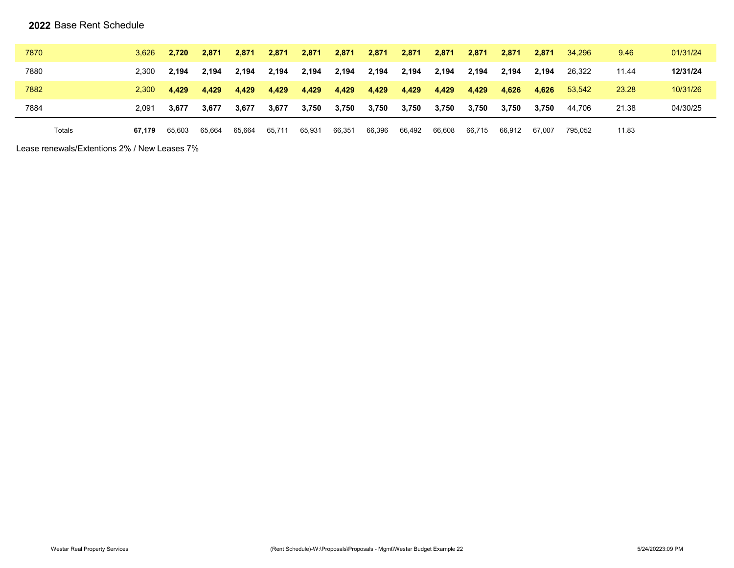#### **2022** Base Rent Schedule

| 7870   | 3.626  | 2.720  | 2.871  | 2.871  | 2.871  | 2,871  | 2,871  | 2,871  | 2,871  | 2,871  | 2,871  | 2.871  | 2.871  | 34.296  | 9.46  | 01/31/24 |
|--------|--------|--------|--------|--------|--------|--------|--------|--------|--------|--------|--------|--------|--------|---------|-------|----------|
| 7880   | 2.300  | 2.194  | 2.194  | 2,194  | 2.194  | 2,194  | 2,194  | 2,194  | 2,194  | 2.194  | 2.194  | 2.194  | 2.194  | 26.322  | 11.44 | 12/31/24 |
| 7882   | 2.300  | 4.429  | 4.429  | 4,429  | 4.429  | 4,429  | 4,429  | 4,429  | 4,429  | 4,429  | 4,429  | 4.626  | 4,626  | 53.542  | 23.28 | 10/31/26 |
| 7884   | 2.091  | 3.677  | 3.677  | 3,677  | 3,677  | 3,750  | 3,750  | 3,750  | 3,750  | 3,750  | 3,750  | 3.750  | 3,750  | 44.706  | 21.38 | 04/30/25 |
| Totals | 67.179 | 65.603 | 65.664 | 65,664 | 65.711 | 65,931 | 66,351 | 66,396 | 66,492 | 66,608 | 66,715 | 66.912 | 67.007 | 795.052 | 11.83 |          |

Lease renewals/Extentions 2% / New Leases 7%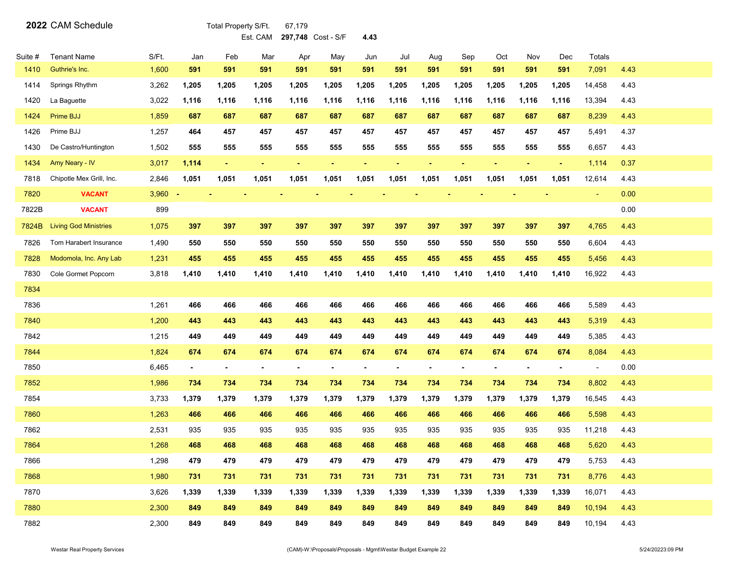**2022** CAM Schedule Total Property S/Ft. 67,179

Est. CAM **297,748** Cost - S/F **4.43**

| Suite # | <b>Tenant Name</b>           | S/Ft. | Jan            | Feb            | Mar            | Apr            | May            | Jun            | Jul            | Aug            | Sep            | Oct            | Nov    | Dec            | Totals                   |      |  |
|---------|------------------------------|-------|----------------|----------------|----------------|----------------|----------------|----------------|----------------|----------------|----------------|----------------|--------|----------------|--------------------------|------|--|
| 1410    | Guthrie's Inc.               | 1,600 | 591            | 591            | 591            | 591            | 591            | 591            | 591            | 591            | 591            | 591            | 591    | 591            | 7,091                    | 4.43 |  |
| 1414    | Springs Rhythm               | 3,262 | 1,205          | 1,205          | 1,205          | 1,205          | 1,205          | 1,205          | 1,205          | 1,205          | 1,205          | 1,205          | 1,205  | 1,205          | 14,458                   | 4.43 |  |
| 1420    | La Baguette                  | 3,022 | 1,116          | 1,116          | 1,116          | 1,116          | 1,116          | 1,116          | 1,116          | 1,116          | 1,116          | 1,116          | 1,116  | 1,116          | 13,394                   | 4.43 |  |
| 1424    | Prime BJJ                    | 1,859 | 687            | 687            | 687            | 687            | 687            | 687            | 687            | 687            | 687            | 687            | 687    | 687            | 8,239                    | 4.43 |  |
| 1426    | Prime BJJ                    | 1,257 | 464            | 457            | 457            | 457            | 457            | 457            | 457            | 457            | 457            | 457            | 457    | 457            | 5,491                    | 4.37 |  |
| 1430    | De Castro/Huntington         | 1,502 | 555            | 555            | 555            | 555            | 555            | 555            | 555            | 555            | 555            | 555            | 555    | 555            | 6,657                    | 4.43 |  |
| 1434    | Amy Neary - IV               | 3,017 | 1,114          | $\sim$         | $\sim$         | $\omega$       | $\blacksquare$ | ä,             | $\blacksquare$ | ÷.             | $\blacksquare$ | ÷,             | $\sim$ | $\omega$       | 1,114                    | 0.37 |  |
| 7818    | Chipotle Mex Grill, Inc.     | 2,846 | 1,051          | 1,051          | 1,051          | 1,051          | 1,051          | 1,051          | 1,051          | 1,051          | 1,051          | 1,051          | 1,051  | 1,051          | 12,614                   | 4.43 |  |
| 7820    | <b>VACANT</b>                | 3,960 |                | $\sim$         |                |                |                |                |                |                |                |                |        |                | $\blacksquare$           | 0.00 |  |
| 7822B   | <b>VACANT</b>                | 899   |                |                |                |                |                |                |                |                |                |                |        |                |                          | 0.00 |  |
| 7824B   | <b>Living God Ministries</b> | 1,075 | 397            | 397            | 397            | 397            | 397            | 397            | 397            | 397            | 397            | 397            | 397    | 397            | 4,765                    | 4.43 |  |
| 7826    | Tom Harabert Insurance       | 1,490 | 550            | 550            | 550            | 550            | 550            | 550            | 550            | 550            | 550            | 550            | 550    | 550            | 6,604                    | 4.43 |  |
| 7828    | Modomola, Inc. Any Lab       | 1,231 | 455            | 455            | 455            | 455            | 455            | 455            | 455            | 455            | 455            | 455            | 455    | 455            | 5,456                    | 4.43 |  |
| 7830    | Cole Gormet Popcorn          | 3,818 | 1,410          | 1,410          | 1,410          | 1,410          | 1,410          | 1,410          | 1,410          | 1,410          | 1,410          | 1,410          | 1,410  | 1,410          | 16,922                   | 4.43 |  |
| 7834    |                              |       |                |                |                |                |                |                |                |                |                |                |        |                |                          |      |  |
| 7836    |                              | 1,261 | 466            | 466            | 466            | 466            | 466            | 466            | 466            | 466            | 466            | 466            | 466    | 466            | 5,589                    | 4.43 |  |
| 7840    |                              | 1,200 | 443            | 443            | 443            | 443            | 443            | 443            | 443            | 443            | 443            | 443            | 443    | 443            | 5,319                    | 4.43 |  |
| 7842    |                              | 1,215 | 449            | 449            | 449            | 449            | 449            | 449            | 449            | 449            | 449            | 449            | 449    | 449            | 5,385                    | 4.43 |  |
| 7844    |                              | 1,824 | 674            | 674            | 674            | 674            | 674            | 674            | 674            | 674            | 674            | 674            | 674    | 674            | 8,084                    | 4.43 |  |
| 7850    |                              | 6,465 | $\blacksquare$ | $\blacksquare$ | $\blacksquare$ | $\blacksquare$ | $\blacksquare$ | $\blacksquare$ | $\blacksquare$ | $\blacksquare$ | ۰              | $\blacksquare$ | ٠      | $\blacksquare$ | $\overline{\phantom{a}}$ | 0.00 |  |
| 7852    |                              | 1,986 | 734            | 734            | 734            | 734            | 734            | 734            | 734            | 734            | 734            | 734            | 734    | 734            | 8,802                    | 4.43 |  |
| 7854    |                              | 3,733 | 1,379          | 1,379          | 1,379          | 1,379          | 1,379          | 1,379          | 1,379          | 1,379          | 1,379          | 1,379          | 1,379  | 1,379          | 16,545                   | 4.43 |  |
| 7860    |                              | 1,263 | 466            | 466            | 466            | 466            | 466            | 466            | 466            | 466            | 466            | 466            | 466    | 466            | 5,598                    | 4.43 |  |
| 7862    |                              | 2,531 | 935            | 935            | 935            | 935            | 935            | 935            | 935            | 935            | 935            | 935            | 935    | 935            | 11,218                   | 4.43 |  |
| 7864    |                              | 1,268 | 468            | 468            | 468            | 468            | 468            | 468            | 468            | 468            | 468            | 468            | 468    | 468            | 5,620                    | 4.43 |  |
| 7866    |                              | 1,298 | 479            | 479            | 479            | 479            | 479            | 479            | 479            | 479            | 479            | 479            | 479    | 479            | 5,753                    | 4.43 |  |
| 7868    |                              | 1,980 | 731            | 731            | 731            | 731            | 731            | 731            | 731            | 731            | 731            | 731            | 731    | 731            | 8,776                    | 4.43 |  |
| 7870    |                              | 3,626 | 1,339          | 1,339          | 1,339          | 1,339          | 1,339          | 1,339          | 1,339          | 1,339          | 1,339          | 1,339          | 1,339  | 1,339          | 16,071                   | 4.43 |  |
| 7880    |                              | 2,300 | 849            | 849            | 849            | 849            | 849            | 849            | 849            | 849            | 849            | 849            | 849    | 849            | 10,194                   | 4.43 |  |
| 7882    |                              | 2,300 | 849            | 849            | 849            | 849            | 849            | 849            | 849            | 849            | 849            | 849            | 849    | 849            | 10,194                   | 4.43 |  |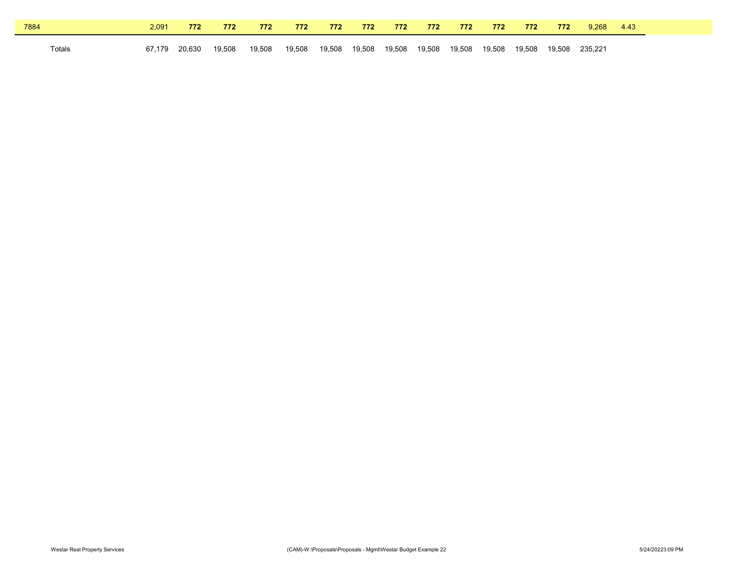| 7884   | 2.091  | 772    | 772    | 772    | 772    | 772    | 772    | 772    | 772    | 772    | 772    | 772    | 772    | 9.268   | 4.43 |
|--------|--------|--------|--------|--------|--------|--------|--------|--------|--------|--------|--------|--------|--------|---------|------|
| Totals | 67.179 | 20.630 | 19.508 | 19,508 | 19,508 | 19,508 | 19,508 | 19,508 | 19.508 | 19.508 | 19.508 | 19.508 | 19.508 | 235.221 |      |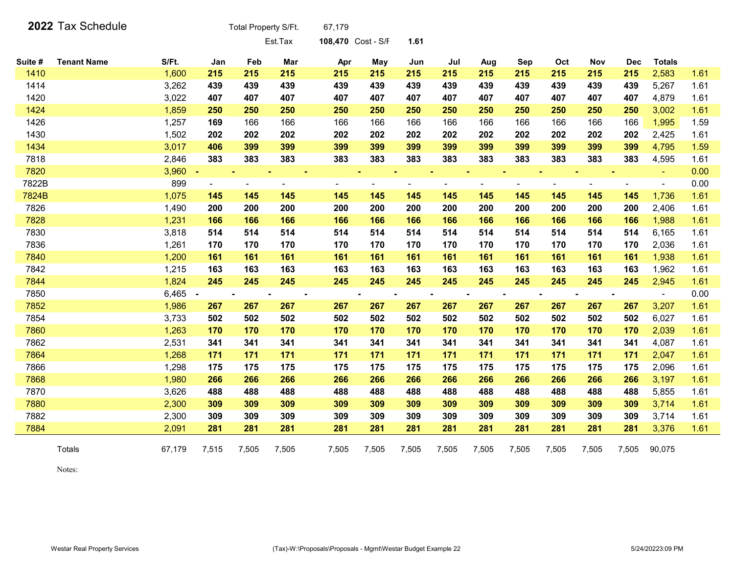|         | 2022 Tax Schedule  |        |                | Total Property S/Ft.     |                | 67,179             |                |                |                |       |       |       |       |            |                |      |
|---------|--------------------|--------|----------------|--------------------------|----------------|--------------------|----------------|----------------|----------------|-------|-------|-------|-------|------------|----------------|------|
|         |                    |        |                |                          | Est.Tax        | 108,470 Cost - S/F |                | 1.61           |                |       |       |       |       |            |                |      |
| Suite # | <b>Tenant Name</b> | S/Ft.  | Jan            | Feb                      | Mar            | Apr                | May            | Jun            | Jul            | Aug   | Sep   | Oct   | Nov   | <b>Dec</b> | <b>Totals</b>  |      |
| 1410    |                    | 1,600  | 215            | 215                      | 215            | 215                | 215            | 215            | 215            | 215   | 215   | 215   | 215   | 215        | 2,583          | 1.61 |
| 1414    |                    | 3,262  | 439            | 439                      | 439            | 439                | 439            | 439            | 439            | 439   | 439   | 439   | 439   | 439        | 5,267          | 1.61 |
| 1420    |                    | 3,022  | 407            | 407                      | 407            | 407                | 407            | 407            | 407            | 407   | 407   | 407   | 407   | 407        | 4,879          | 1.61 |
| 1424    |                    | 1,859  | 250            | 250                      | 250            | 250                | 250            | 250            | 250            | 250   | 250   | 250   | 250   | 250        | 3,002          | 1.61 |
| 1426    |                    | 1,257  | 169            | 166                      | 166            | 166                | 166            | 166            | 166            | 166   | 166   | 166   | 166   | 166        | 1,995          | 1.59 |
| 1430    |                    | 1,502  | 202            | 202                      | 202            | 202                | 202            | 202            | 202            | 202   | 202   | 202   | 202   | 202        | 2,425          | 1.61 |
| 1434    |                    | 3,017  | 406            | 399                      | 399            | 399                | 399            | 399            | 399            | 399   | 399   | 399   | 399   | 399        | 4,795          | 1.59 |
| 7818    |                    | 2,846  | 383            | 383                      | 383            | 383                | 383            | 383            | 383            | 383   | 383   | 383   | 383   | 383        | 4,595          | 1.61 |
| 7820    |                    | 3,960  |                |                          |                |                    |                |                |                |       |       |       |       |            |                | 0.00 |
| 7822B   |                    | 899    | $\blacksquare$ | $\overline{\phantom{a}}$ | $\blacksquare$ | $\blacksquare$     |                |                |                |       | ÷     |       |       |            | $\blacksquare$ | 0.00 |
| 7824B   |                    | 1,075  | 145            | 145                      | 145            | 145                | 145            | 145            | 145            | 145   | 145   | 145   | 145   | 145        | 1,736          | 1.61 |
| 7826    |                    | 1,490  | 200            | 200                      | 200            | 200                | 200            | 200            | 200            | 200   | 200   | 200   | 200   | 200        | 2,406          | 1.61 |
| 7828    |                    | 1,231  | 166            | 166                      | 166            | 166                | 166            | 166            | 166            | 166   | 166   | 166   | 166   | 166        | 1,988          | 1.61 |
| 7830    |                    | 3,818  | 514            | 514                      | 514            | 514                | 514            | 514            | 514            | 514   | 514   | 514   | 514   | 514        | 6,165          | 1.61 |
| 7836    |                    | 1,261  | 170            | 170                      | 170            | 170                | 170            | 170            | 170            | 170   | 170   | 170   | 170   | 170        | 2,036          | 1.61 |
| 7840    |                    | 1,200  | 161            | 161                      | 161            | 161                | 161            | 161            | 161            | 161   | 161   | 161   | 161   | 161        | 1,938          | 1.61 |
| 7842    |                    | 1,215  | 163            | 163                      | 163            | 163                | 163            | 163            | 163            | 163   | 163   | 163   | 163   | 163        | 1,962          | 1.61 |
| 7844    |                    | 1,824  | 245            | 245                      | 245            | 245                | 245            | 245            | 245            | 245   | 245   | 245   | 245   | 245        | 2,945          | 1.61 |
| 7850    |                    | 6,465  |                |                          |                |                    | $\blacksquare$ | $\blacksquare$ | $\blacksquare$ |       |       |       |       |            | $\blacksquare$ | 0.00 |
| 7852    |                    | 1,986  | 267            | 267                      | 267            | 267                | 267            | 267            | 267            | 267   | 267   | 267   | 267   | 267        | 3,207          | 1.61 |
| 7854    |                    | 3,733  | 502            | 502                      | 502            | 502                | 502            | 502            | 502            | 502   | 502   | 502   | 502   | 502        | 6,027          | 1.61 |
| 7860    |                    | 1,263  | 170            | 170                      | 170            | 170                | 170            | 170            | 170            | 170   | 170   | 170   | 170   | 170        | 2,039          | 1.61 |
| 7862    |                    | 2,531  | 341            | 341                      | 341            | 341                | 341            | 341            | 341            | 341   | 341   | 341   | 341   | 341        | 4,087          | 1.61 |
| 7864    |                    | 1,268  | 171            | 171                      | 171            | 171                | 171            | 171            | 171            | 171   | 171   | 171   | 171   | 171        | 2,047          | 1.61 |
| 7866    |                    | 1,298  | 175            | 175                      | 175            | 175                | 175            | 175            | 175            | 175   | 175   | 175   | 175   | 175        | 2,096          | 1.61 |
| 7868    |                    | 1,980  | 266            | 266                      | 266            | 266                | 266            | 266            | 266            | 266   | 266   | 266   | 266   | 266        | 3,197          | 1.61 |
| 7870    |                    | 3,626  | 488            | 488                      | 488            | 488                | 488            | 488            | 488            | 488   | 488   | 488   | 488   | 488        | 5,855          | 1.61 |
| 7880    |                    | 2,300  | 309            | 309                      | 309            | 309                | 309            | 309            | 309            | 309   | 309   | 309   | 309   | 309        | 3,714          | 1.61 |
| 7882    |                    | 2,300  | 309            | 309                      | 309            | 309                | 309            | 309            | 309            | 309   | 309   | 309   | 309   | 309        | 3,714          | 1.61 |
| 7884    |                    | 2,091  | 281            | 281                      | 281            | 281                | 281            | 281            | 281            | 281   | 281   | 281   | 281   | 281        | 3,376          | 1.61 |
|         | Totals             | 67,179 | 7,515          | 7,505                    | 7,505          | 7,505              | 7,505          | 7,505          | 7,505          | 7,505 | 7,505 | 7,505 | 7,505 | 7,505      | 90,075         |      |

Notes: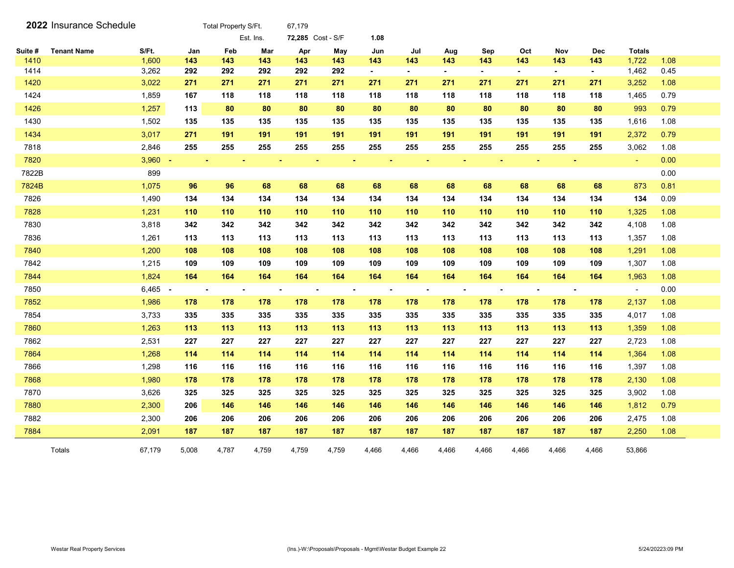|         | 2022 Insurance Schedule |           |       | Total Property S/Ft. |           | 67,179            |       |                |                |                |                |                |                |            |                          |      |
|---------|-------------------------|-----------|-------|----------------------|-----------|-------------------|-------|----------------|----------------|----------------|----------------|----------------|----------------|------------|--------------------------|------|
|         |                         |           |       |                      | Est. Ins. | 72,285 Cost - S/F |       | 1.08           |                |                |                |                |                |            |                          |      |
| Suite # | <b>Tenant Name</b>      | S/Ft.     | Jan   | Feb                  | Mar       | Apr               | May   | Jun            | Jul            | Aug            | Sep            | Oct            | <b>Nov</b>     | <b>Dec</b> | <b>Totals</b>            |      |
| 1410    |                         | 1,600     | 143   | 143                  | 143       | 143               | 143   | 143            | 143            | 143            | 143            | 143            | 143            | 143        | 1,722                    | 1.08 |
| 1414    |                         | 3,262     | 292   | 292                  | 292       | 292               | 292   | $\blacksquare$ | $\sim$         | $\sim$         | $\sim$         | $\sim$         | $\sim$         | $\sim$     | 1,462                    | 0.45 |
| 1420    |                         | 3,022     | 271   | 271                  | 271       | 271               | 271   | 271            | 271            | 271            | 271            | 271            | 271            | 271        | 3,252                    | 1.08 |
| 1424    |                         | 1,859     | 167   | 118                  | 118       | 118               | 118   | 118            | 118            | 118            | 118            | 118            | 118            | 118        | 1,465                    | 0.79 |
| 1426    |                         | 1,257     | 113   | 80                   | 80        | 80                | 80    | 80             | 80             | 80             | 80             | 80             | 80             | 80         | 993                      | 0.79 |
| 1430    |                         | 1,502     | 135   | 135                  | 135       | 135               | 135   | 135            | 135            | 135            | 135            | 135            | 135            | 135        | 1,616                    | 1.08 |
| 1434    |                         | 3,017     | 271   | 191                  | 191       | 191               | 191   | 191            | 191            | 191            | 191            | 191            | 191            | 191        | 2,372                    | 0.79 |
| 7818    |                         | 2,846     | 255   | 255                  | 255       | 255               | 255   | 255            | 255            | 255            | 255            | 255            | 255            | 255        | 3,062                    | 1.08 |
| 7820    |                         | $3,960 -$ |       |                      |           |                   |       |                |                |                |                |                | $\blacksquare$ |            | $\blacksquare$           | 0.00 |
| 7822B   |                         | 899       |       |                      |           |                   |       |                |                |                |                |                |                |            |                          | 0.00 |
| 7824B   |                         | 1,075     | 96    | 96                   | 68        | 68                | 68    | 68             | 68             | 68             | 68             | 68             | 68             | 68         | 873                      | 0.81 |
| 7826    |                         | 1,490     | 134   | 134                  | 134       | 134               | 134   | 134            | 134            | 134            | 134            | 134            | 134            | 134        | 134                      | 0.09 |
| 7828    |                         | 1,231     | 110   | 110                  | 110       | 110               | 110   | 110            | 110            | 110            | 110            | 110            | 110            | 110        | 1,325                    | 1.08 |
| 7830    |                         | 3,818     | 342   | 342                  | 342       | 342               | 342   | 342            | 342            | 342            | 342            | 342            | 342            | 342        | 4,108                    | 1.08 |
| 7836    |                         | 1,261     | 113   | 113                  | 113       | 113               | 113   | 113            | 113            | 113            | 113            | 113            | 113            | 113        | 1,357                    | 1.08 |
| 7840    |                         | 1,200     | 108   | 108                  | 108       | 108               | 108   | 108            | 108            | 108            | 108            | 108            | 108            | 108        | 1,291                    | 1.08 |
| 7842    |                         | 1,215     | 109   | 109                  | 109       | 109               | 109   | 109            | 109            | 109            | 109            | 109            | 109            | 109        | 1,307                    | 1.08 |
| 7844    |                         | 1,824     | 164   | 164                  | 164       | 164               | 164   | 164            | 164            | 164            | 164            | 164            | 164            | 164        | 1,963                    | 1.08 |
| 7850    |                         | $6,465 -$ |       |                      |           |                   |       | $\blacksquare$ | $\blacksquare$ | $\blacksquare$ | $\blacksquare$ | $\blacksquare$ | $\sim$         |            | $\overline{\phantom{a}}$ | 0.00 |
| 7852    |                         | 1,986     | 178   | 178                  | 178       | 178               | 178   | 178            | 178            | 178            | 178            | 178            | 178            | 178        | 2,137                    | 1.08 |
| 7854    |                         | 3,733     | 335   | 335                  | 335       | 335               | 335   | 335            | 335            | 335            | 335            | 335            | 335            | 335        | 4,017                    | 1.08 |
| 7860    |                         | 1,263     | 113   | 113                  | 113       | 113               | 113   | 113            | 113            | 113            | 113            | 113            | 113            | 113        | 1,359                    | 1.08 |
| 7862    |                         | 2,531     | 227   | 227                  | 227       | 227               | 227   | 227            | 227            | 227            | 227            | 227            | 227            | 227        | 2,723                    | 1.08 |
| 7864    |                         | 1,268     | 114   | 114                  | 114       | 114               | 114   | 114            | 114            | 114            | 114            | 114            | 114            | 114        | 1,364                    | 1.08 |
| 7866    |                         | 1,298     | 116   | 116                  | 116       | 116               | 116   | 116            | 116            | 116            | 116            | 116            | 116            | 116        | 1,397                    | 1.08 |
| 7868    |                         | 1,980     | 178   | 178                  | 178       | 178               | 178   | 178            | 178            | 178            | 178            | 178            | 178            | 178        | 2,130                    | 1.08 |
| 7870    |                         | 3,626     | 325   | 325                  | 325       | 325               | 325   | 325            | 325            | 325            | 325            | 325            | 325            | 325        | 3,902                    | 1.08 |
| 7880    |                         | 2,300     | 206   | 146                  | 146       | 146               | 146   | 146            | 146            | 146            | 146            | 146            | 146            | 146        | 1,812                    | 0.79 |
| 7882    |                         | 2,300     | 206   | 206                  | 206       | 206               | 206   | 206            | 206            | 206            | 206            | 206            | 206            | 206        | 2,475                    | 1.08 |
| 7884    |                         | 2,091     | 187   | 187                  | 187       | 187               | 187   | 187            | 187            | 187            | 187            | 187            | 187            | 187        | 2,250                    | 1.08 |
|         | Totals                  | 67.179    | 5.008 | 4.787                | 4.759     | 4.759             | 4.759 | 4.466          | 4.466          | 4.466          | 4.466          | 4.466          | 4.466          | 4.466      | 53.866                   |      |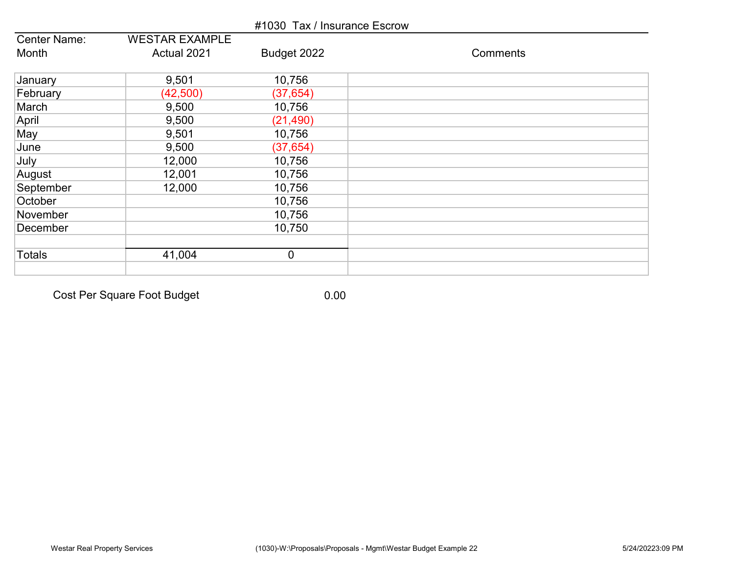|                     |                       | #1030 Tax / Insurance Escrow |          |
|---------------------|-----------------------|------------------------------|----------|
| <b>Center Name:</b> | <b>WESTAR EXAMPLE</b> |                              |          |
| Month               | Actual 2021           | Budget 2022                  | Comments |
| January             | 9,501                 | 10,756                       |          |
| February            | (42, 500)             | (37, 654)                    |          |
| March               | 9,500                 | 10,756                       |          |
| April               | 9,500                 | (21, 490)                    |          |
| May                 | 9,501                 | 10,756                       |          |
| June                | 9,500                 | (37, 654)                    |          |
| July                | 12,000                | 10,756                       |          |
| August              | 12,001                | 10,756                       |          |
| September           | 12,000                | 10,756                       |          |
| October             |                       | 10,756                       |          |
| November            |                       | 10,756                       |          |
| December            |                       | 10,750                       |          |
| Totals              | 41,004                | $\overline{0}$               |          |
|                     |                       |                              |          |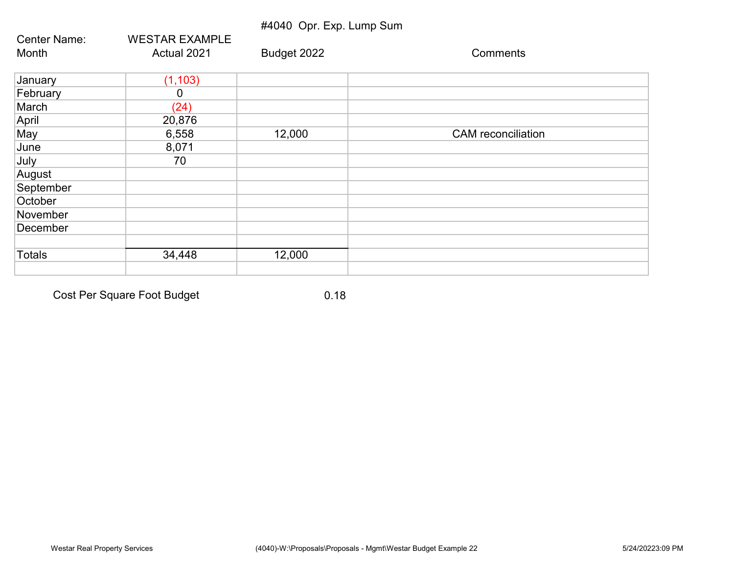|                     |                       | #4040 Opr. Exp. Lump Sum |                           |
|---------------------|-----------------------|--------------------------|---------------------------|
| <b>Center Name:</b> | <b>WESTAR EXAMPLE</b> |                          |                           |
| Month               | Actual 2021           | Budget 2022              | Comments                  |
| January             | (1, 103)              |                          |                           |
| February            | 0                     |                          |                           |
| March               | (24)                  |                          |                           |
| April               | 20,876                |                          |                           |
| May                 | 6,558                 | 12,000                   | <b>CAM</b> reconciliation |
| June                | 8,071                 |                          |                           |
| July                | 70                    |                          |                           |
| August              |                       |                          |                           |
| September           |                       |                          |                           |
| October             |                       |                          |                           |
| November            |                       |                          |                           |
| December            |                       |                          |                           |
|                     |                       |                          |                           |
| <b>Totals</b>       | 34,448                | 12,000                   |                           |
|                     |                       |                          |                           |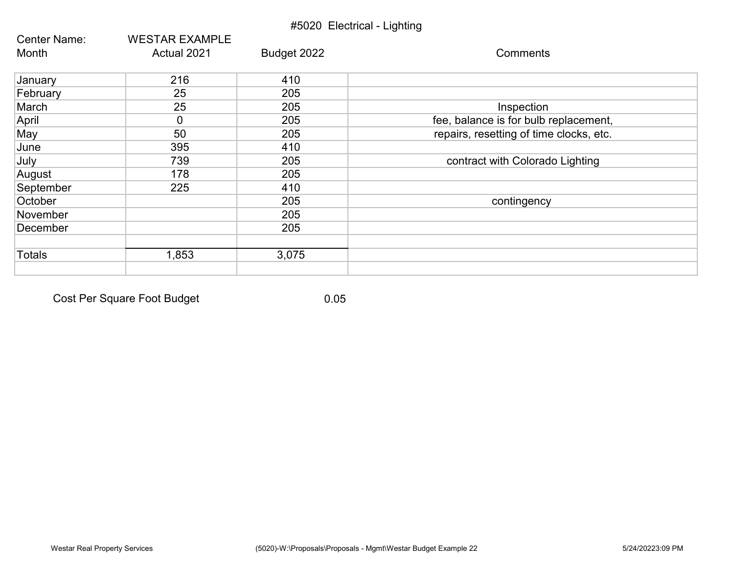|               |                       | #5020 Electrical - Lighting |                                         |
|---------------|-----------------------|-----------------------------|-----------------------------------------|
| Center Name:  | <b>WESTAR EXAMPLE</b> |                             |                                         |
| Month         | Actual 2021           | Budget 2022                 | Comments                                |
| January       | 216                   | 410                         |                                         |
| February      | 25                    | 205                         |                                         |
| March         | 25                    | 205                         | Inspection                              |
| April         | $\mathbf 0$           | 205                         | fee, balance is for bulb replacement,   |
| May           | 50                    | 205                         | repairs, resetting of time clocks, etc. |
| June          | 395                   | 410                         |                                         |
| July          | 739                   | 205                         | contract with Colorado Lighting         |
| August        | 178                   | 205                         |                                         |
| September     | 225                   | 410                         |                                         |
| October       |                       | 205                         | contingency                             |
| November      |                       | 205                         |                                         |
| December      |                       | 205                         |                                         |
| <b>Totals</b> | 1,853                 | 3,075                       |                                         |
|               |                       |                             |                                         |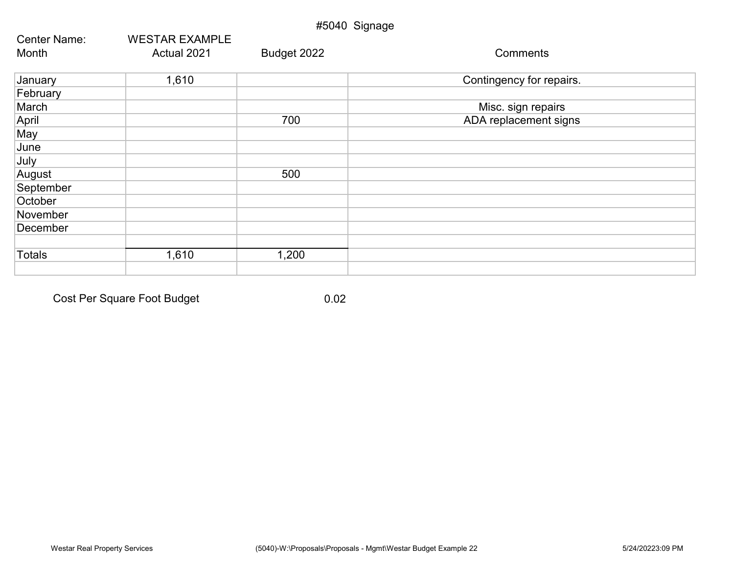|                     |                       | #5040 Signage |                          |
|---------------------|-----------------------|---------------|--------------------------|
| <b>Center Name:</b> | <b>WESTAR EXAMPLE</b> |               |                          |
| Month               | Actual 2021           | Budget 2022   | Comments                 |
| January             | 1,610                 |               | Contingency for repairs. |
| February            |                       |               |                          |
| March               |                       |               | Misc. sign repairs       |
| April               |                       | 700           | ADA replacement signs    |
| May                 |                       |               |                          |
| June                |                       |               |                          |
| July                |                       |               |                          |
| August              |                       | 500           |                          |
| September           |                       |               |                          |
| October             |                       |               |                          |
| November            |                       |               |                          |
| December            |                       |               |                          |
|                     |                       |               |                          |
| <b>Totals</b>       | 1,610                 | 1,200         |                          |
|                     |                       |               |                          |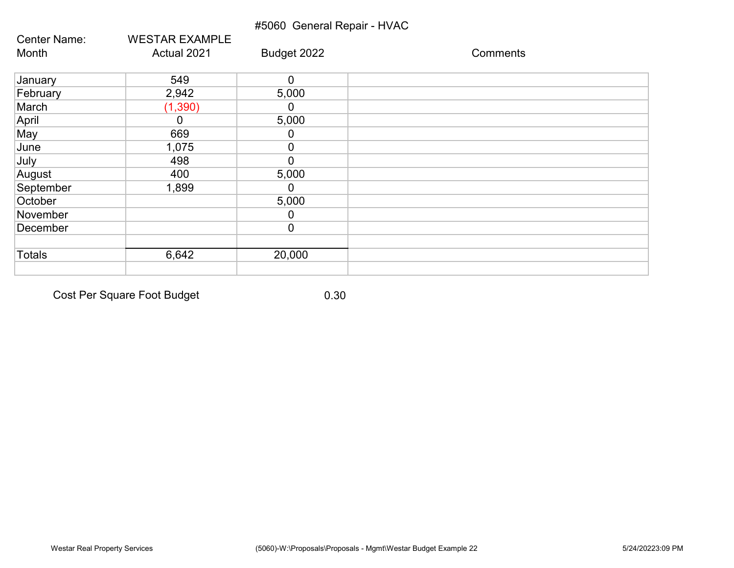#### #5060 General Repair - HVAC

| Center Name:  | <b>WESTAR EXAMPLE</b> |                |          |
|---------------|-----------------------|----------------|----------|
| Month         | Actual 2021           | Budget 2022    | Comments |
| January       | 549                   | $\mathbf 0$    |          |
| February      | 2,942                 | 5,000          |          |
| March         | (1, 390)              | 0              |          |
| April         | $\Omega$              | 5,000          |          |
| May           | 669                   | 0              |          |
| June          | 1,075                 | $\mathbf 0$    |          |
| July          | 498                   | $\overline{0}$ |          |
| August        | 400                   | 5,000          |          |
| September     | 1,899                 | 0              |          |
| October       |                       | 5,000          |          |
| November      |                       | 0              |          |
| December      |                       | $\mathbf 0$    |          |
| <b>Totals</b> | 6,642                 | 20,000         |          |
|               |                       |                |          |

Cost Per Square Foot Budget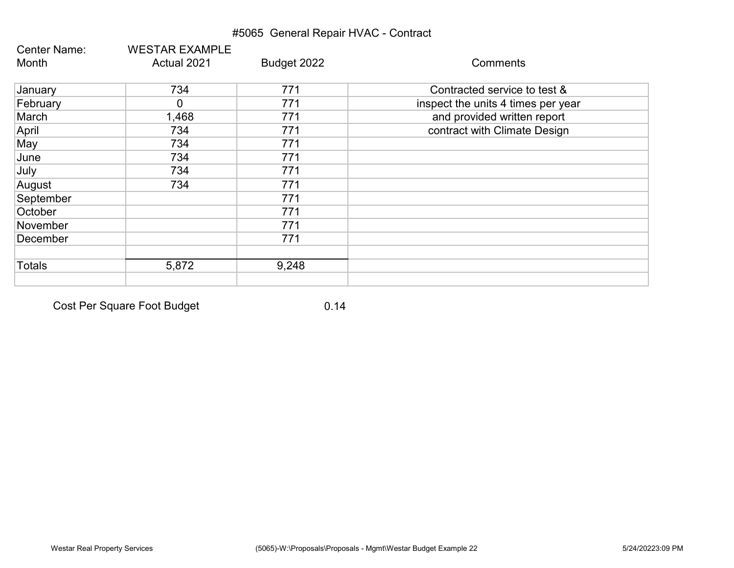## #5065 General Repair HVAC - Contract

| <b>Center Name:</b> | <b>WESTAR EXAMPLE</b> |             |                                    |
|---------------------|-----------------------|-------------|------------------------------------|
| Month               | Actual 2021           | Budget 2022 | Comments                           |
| January             | 734                   | 771         | Contracted service to test &       |
| February            | 0                     | 771         | inspect the units 4 times per year |
| March               | 1,468                 | 771         | and provided written report        |
| April               | 734                   | 771         | contract with Climate Design       |
| May                 | 734                   | 771         |                                    |
| June                | 734                   | 771         |                                    |
| July                | 734                   | 771         |                                    |
| August              | 734                   | 771         |                                    |
| September           |                       | 771         |                                    |
| October             |                       | 771         |                                    |
| November            |                       | 771         |                                    |
| December            |                       | 771         |                                    |
| <b>Totals</b>       | 5,872                 | 9,248       |                                    |
|                     |                       |             |                                    |

Cost Per Square Foot Budget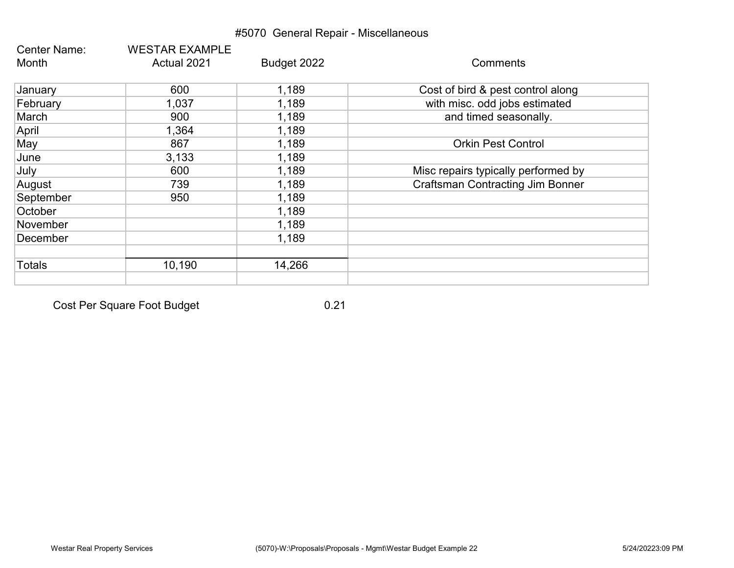## #5070 General Repair - Miscellaneous

| Center Name:  | <b>WESTAR EXAMPLE</b> |             | Comments                                |
|---------------|-----------------------|-------------|-----------------------------------------|
| Month         | Actual 2021           | Budget 2022 |                                         |
| January       | 600                   | 1,189       | Cost of bird & pest control along       |
| February      | 1,037                 | 1,189       | with misc. odd jobs estimated           |
| March         | 900                   | 1,189       | and timed seasonally.                   |
| April         | 1,364                 | 1,189       |                                         |
| May           | 867                   | 1,189       | <b>Orkin Pest Control</b>               |
| June          | 3,133                 | 1,189       |                                         |
| July          | 600                   | 1,189       | Misc repairs typically performed by     |
| August        | 739                   | 1,189       | <b>Craftsman Contracting Jim Bonner</b> |
| September     | 950                   | 1,189       |                                         |
| October       |                       | 1,189       |                                         |
| November      |                       | 1,189       |                                         |
| December      |                       | 1,189       |                                         |
| <b>Totals</b> | 10,190                | 14,266      |                                         |
|               |                       |             |                                         |

Cost Per Square Foot Budget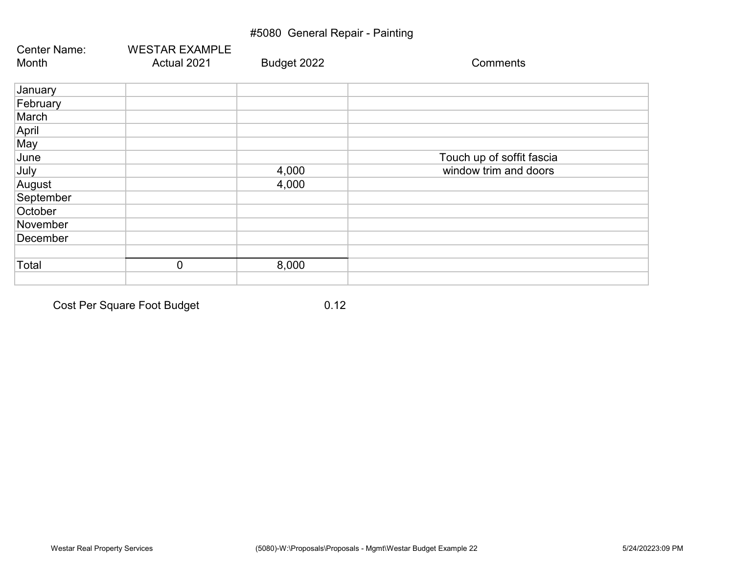## #5080 General Repair - Painting

| <b>Center Name:</b><br>Month | <b>WESTAR EXAMPLE</b><br>Actual 2021 | Budget 2022 | Comments                  |
|------------------------------|--------------------------------------|-------------|---------------------------|
|                              |                                      |             |                           |
| January                      |                                      |             |                           |
| February                     |                                      |             |                           |
| March                        |                                      |             |                           |
| April                        |                                      |             |                           |
| May                          |                                      |             |                           |
| June                         |                                      |             | Touch up of soffit fascia |
| July                         |                                      | 4,000       | window trim and doors     |
| August                       |                                      | 4,000       |                           |
| September                    |                                      |             |                           |
| October                      |                                      |             |                           |
| November                     |                                      |             |                           |
| December                     |                                      |             |                           |
|                              |                                      |             |                           |
| Total                        | $\overline{0}$                       | 8,000       |                           |
|                              |                                      |             |                           |

Cost Per Square Foot Budget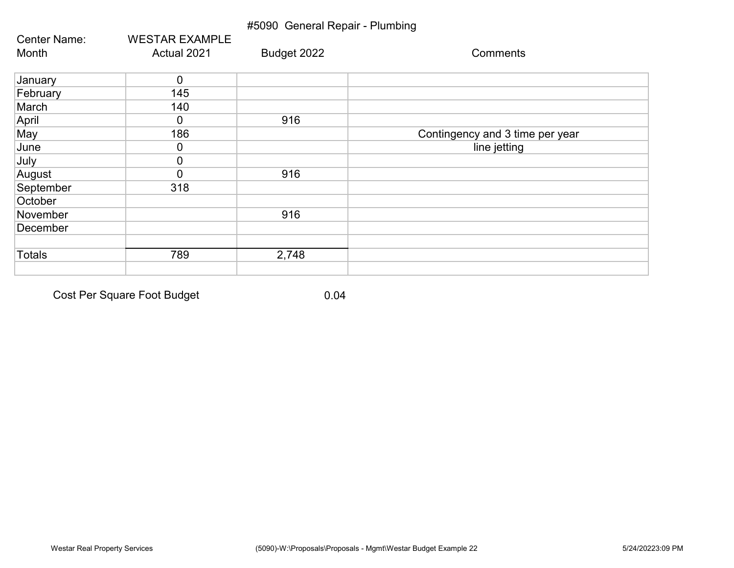| #5090 General Repair - Plumbing |                       |             |                                 |  |
|---------------------------------|-----------------------|-------------|---------------------------------|--|
| Center Name:                    | <b>WESTAR EXAMPLE</b> |             |                                 |  |
| Month                           | Actual 2021           | Budget 2022 | Comments                        |  |
| January                         | 0                     |             |                                 |  |
| February                        | 145                   |             |                                 |  |
| March                           | 140                   |             |                                 |  |
| April                           | 0                     | 916         |                                 |  |
| May                             | 186                   |             | Contingency and 3 time per year |  |
| June                            | 0                     |             | line jetting                    |  |
| July                            | 0                     |             |                                 |  |
| August                          | 0                     | 916         |                                 |  |
| September                       | 318                   |             |                                 |  |
| October                         |                       |             |                                 |  |
| November                        |                       | 916         |                                 |  |
| December                        |                       |             |                                 |  |
|                                 |                       |             |                                 |  |
| <b>Totals</b>                   | 789                   | 2,748       |                                 |  |
|                                 |                       |             |                                 |  |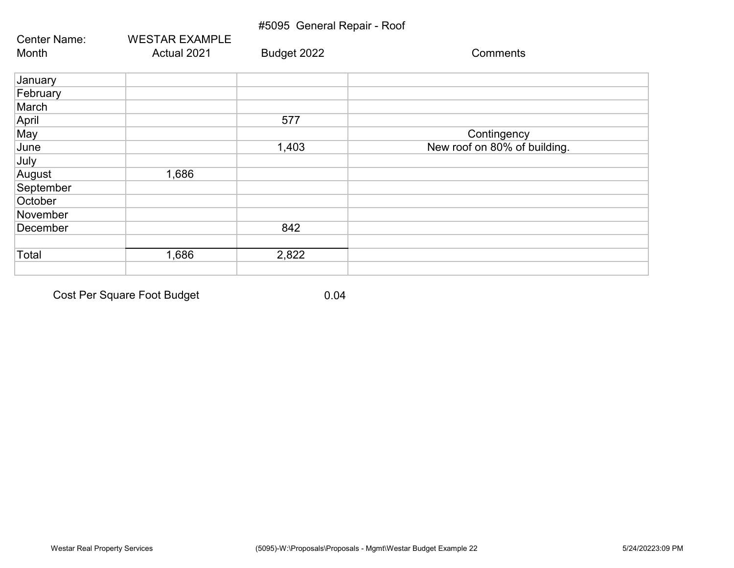#### #5095 General Repair - Roof

| <b>Center Name:</b> | <b>WESTAR EXAMPLE</b> |             |                              |
|---------------------|-----------------------|-------------|------------------------------|
| Month               | Actual 2021           | Budget 2022 | Comments                     |
| January             |                       |             |                              |
| February            |                       |             |                              |
| March               |                       |             |                              |
| April               |                       | 577         |                              |
| May                 |                       |             | Contingency                  |
| June                |                       | 1,403       | New roof on 80% of building. |
| July                |                       |             |                              |
| August              | 1,686                 |             |                              |
| September           |                       |             |                              |
| October             |                       |             |                              |
| November            |                       |             |                              |
| December            |                       | 842         |                              |
|                     |                       |             |                              |
| Total               | 1,686                 | 2,822       |                              |
|                     |                       |             |                              |

Cost Per Square Foot Budget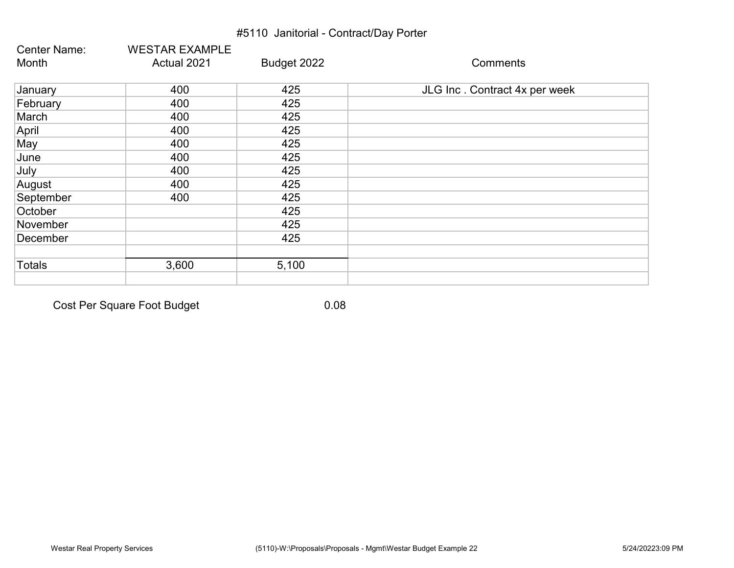## #5110 Janitorial - Contract/Day Porter

| <b>Center Name:</b> | <b>WESTAR EXAMPLE</b> |             |                               |
|---------------------|-----------------------|-------------|-------------------------------|
| Month               | Actual 2021           | Budget 2022 | Comments                      |
| January             | 400                   | 425         | JLG Inc. Contract 4x per week |
| February            | 400                   | 425         |                               |
| March               | 400                   | 425         |                               |
| April               | 400                   | 425         |                               |
| May                 | 400                   | 425         |                               |
| June                | 400                   | 425         |                               |
| July                | 400                   | 425         |                               |
| August              | 400                   | 425         |                               |
| September           | 400                   | 425         |                               |
| October             |                       | 425         |                               |
| November            |                       | 425         |                               |
| December            |                       | 425         |                               |
| <b>Totals</b>       | 3,600                 | 5,100       |                               |
|                     |                       |             |                               |

Cost Per Square Foot Budget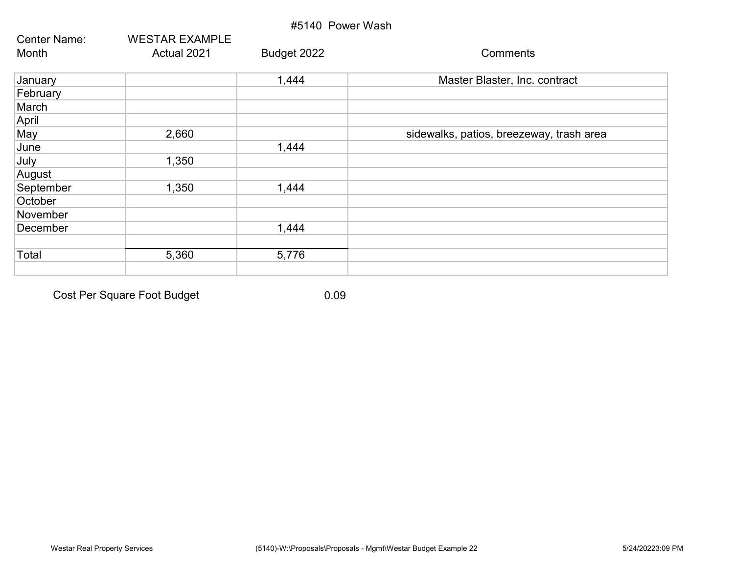| #5140 Power Wash    |                       |             |                                          |
|---------------------|-----------------------|-------------|------------------------------------------|
| <b>Center Name:</b> | <b>WESTAR EXAMPLE</b> |             |                                          |
| Month               | Actual 2021           | Budget 2022 | Comments                                 |
| January             |                       | 1,444       | Master Blaster, Inc. contract            |
| February            |                       |             |                                          |
| March               |                       |             |                                          |
| April               |                       |             |                                          |
| May                 | 2,660                 |             | sidewalks, patios, breezeway, trash area |
| June                |                       | 1,444       |                                          |
| July                | 1,350                 |             |                                          |
| August              |                       |             |                                          |
| September           | 1,350                 | 1,444       |                                          |
| October             |                       |             |                                          |
| November            |                       |             |                                          |
| December            |                       | 1,444       |                                          |
|                     |                       |             |                                          |
| Total               | 5,360                 | 5,776       |                                          |
|                     |                       |             |                                          |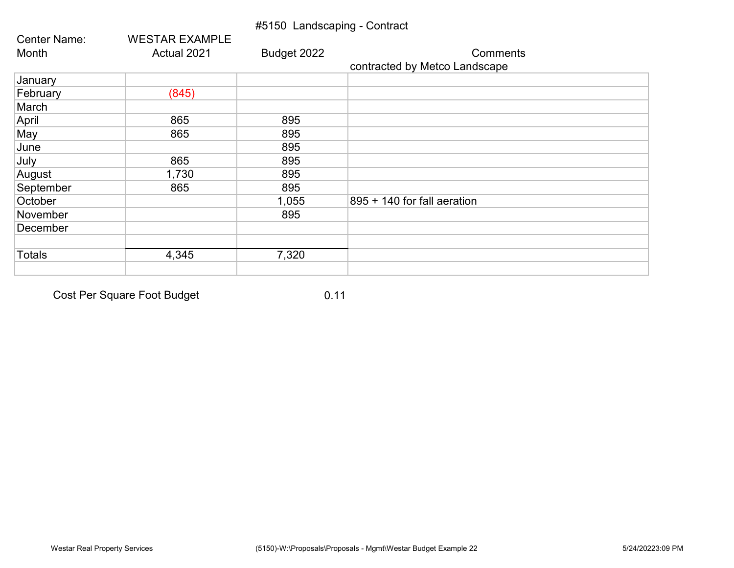## #5150 Landscaping - Contract

| <b>Center Name:</b> | <b>WESTAR EXAMPLE</b> |             |                               |
|---------------------|-----------------------|-------------|-------------------------------|
| Month               | Actual 2021           | Budget 2022 | <b>Comments</b>               |
|                     |                       |             | contracted by Metco Landscape |
| January             |                       |             |                               |
| February            | (845)                 |             |                               |
| March               |                       |             |                               |
| April               | 865                   | 895         |                               |
| May                 | 865                   | 895         |                               |
| June                |                       | 895         |                               |
| July                | 865                   | 895         |                               |
| August              | 1,730                 | 895         |                               |
| September           | 865                   | 895         |                               |
| October             |                       | 1,055       | 895 + 140 for fall aeration   |
| November            |                       | 895         |                               |
| December            |                       |             |                               |
|                     |                       |             |                               |
| <b>Totals</b>       | 4,345                 | 7,320       |                               |
|                     |                       |             |                               |

Cost Per Square Foot Budget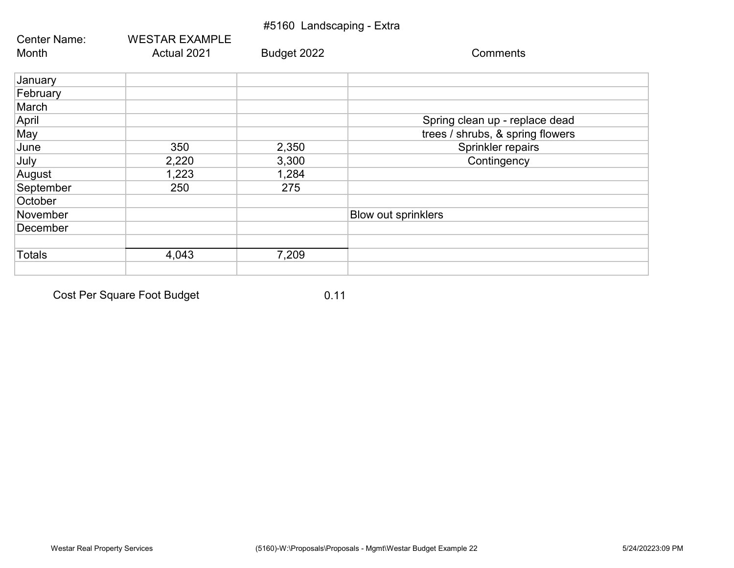|               |                       | #5160 Landscaping - Extra |                                  |
|---------------|-----------------------|---------------------------|----------------------------------|
| Center Name:  | <b>WESTAR EXAMPLE</b> |                           |                                  |
| Month         | Actual 2021           | Budget 2022               | Comments                         |
| January       |                       |                           |                                  |
| February      |                       |                           |                                  |
| March         |                       |                           |                                  |
| April         |                       |                           | Spring clean up - replace dead   |
| May           |                       |                           | trees / shrubs, & spring flowers |
| June          | 350                   | 2,350                     | Sprinkler repairs                |
| July          | 2,220                 | 3,300                     | Contingency                      |
| August        | 1,223                 | 1,284                     |                                  |
| September     | 250                   | 275                       |                                  |
| October       |                       |                           |                                  |
| November      |                       |                           | <b>Blow out sprinklers</b>       |
| December      |                       |                           |                                  |
|               |                       |                           |                                  |
| <b>Totals</b> | 4,043                 | 7,209                     |                                  |
|               |                       |                           |                                  |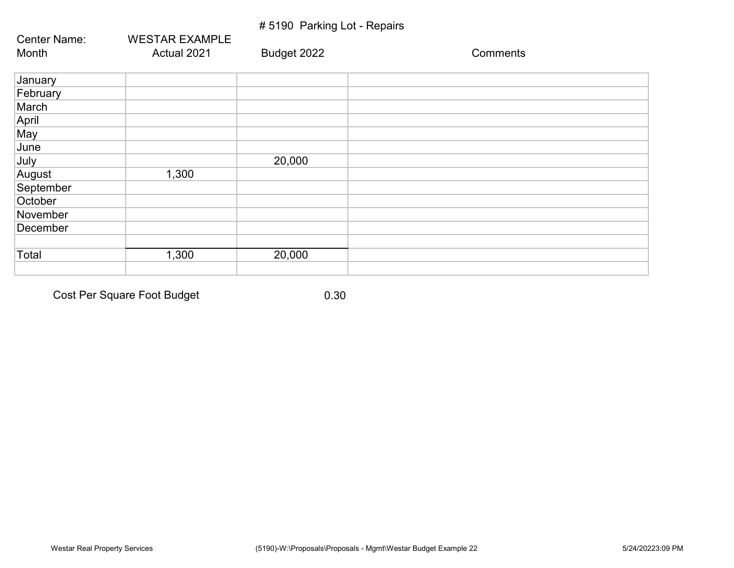## # 5190 Parking Lot - Repairs

| Center Name: | <b>WESTAR EXAMPLE</b> |             |          |
|--------------|-----------------------|-------------|----------|
| Month        | Actual 2021           | Budget 2022 | Comments |
| January      |                       |             |          |
| February     |                       |             |          |
| March        |                       |             |          |
| April        |                       |             |          |
| May          |                       |             |          |
| June         |                       |             |          |
| July         |                       | 20,000      |          |
| August       | 1,300                 |             |          |
| September    |                       |             |          |
| October      |                       |             |          |
| November     |                       |             |          |
| December     |                       |             |          |
|              |                       |             |          |
| Total        | 1,300                 | 20,000      |          |
|              |                       |             |          |

Cost Per Square Foot Budget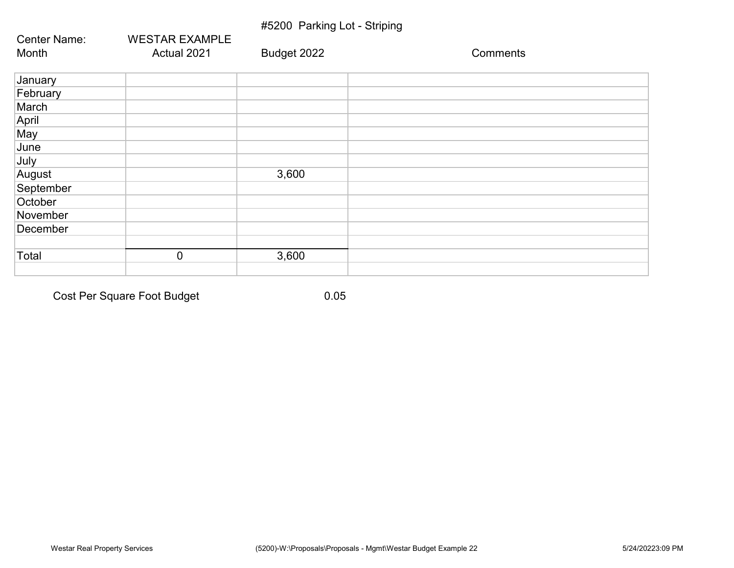## #5200 Parking Lot - Striping

| Center Name: | <b>WESTAR EXAMPLE</b> |             |          |
|--------------|-----------------------|-------------|----------|
| Month        | Actual 2021           | Budget 2022 | Comments |
| January      |                       |             |          |
| February     |                       |             |          |
| March        |                       |             |          |
| April        |                       |             |          |
| May          |                       |             |          |
| June         |                       |             |          |
| July         |                       |             |          |
| August       |                       | 3,600       |          |
| September    |                       |             |          |
| October      |                       |             |          |
| November     |                       |             |          |
| December     |                       |             |          |
|              |                       |             |          |
| Total        | $\overline{0}$        | 3,600       |          |
|              |                       |             |          |

Cost Per Square Foot Budget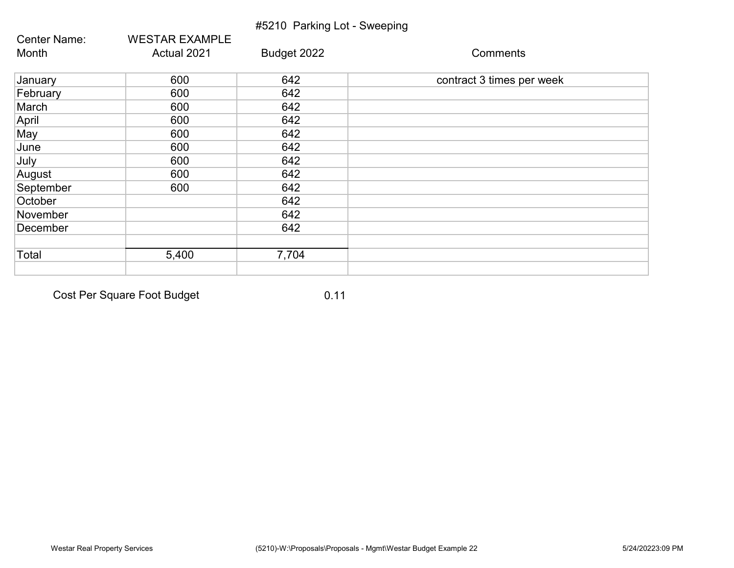|              |                       | #5210 Parking Lot - Sweeping |                           |
|--------------|-----------------------|------------------------------|---------------------------|
| Center Name: | <b>WESTAR EXAMPLE</b> |                              |                           |
| Month        | Actual 2021           | Budget 2022                  | Comments                  |
| January      | 600                   | 642                          | contract 3 times per week |
| February     | 600                   | 642                          |                           |
| March        | 600                   | 642                          |                           |
| April        | 600                   | 642                          |                           |
| May          | 600                   | 642                          |                           |
| June         | 600                   | 642                          |                           |
| July         | 600                   | 642                          |                           |
| August       | 600                   | 642                          |                           |
| September    | 600                   | 642                          |                           |
| October      |                       | 642                          |                           |
| November     |                       | 642                          |                           |
| December     |                       | 642                          |                           |
|              |                       |                              |                           |
| Total        | 5,400                 | 7,704                        |                           |
|              |                       |                              |                           |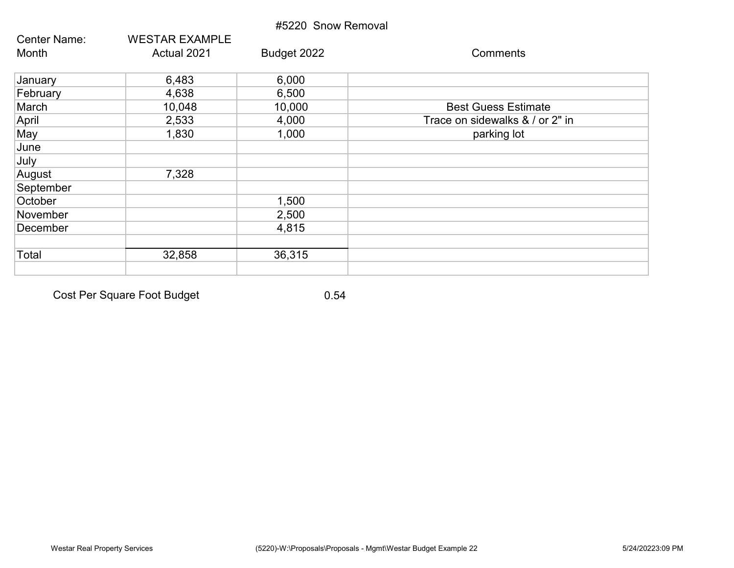| #5220 Snow Removal  |                       |             |                                 |  |  |
|---------------------|-----------------------|-------------|---------------------------------|--|--|
| <b>Center Name:</b> | <b>WESTAR EXAMPLE</b> |             |                                 |  |  |
| Month               | Actual 2021           | Budget 2022 | Comments                        |  |  |
| January             | 6,483                 | 6,000       |                                 |  |  |
| February            | 4,638                 | 6,500       |                                 |  |  |
| March               | 10,048                | 10,000      | <b>Best Guess Estimate</b>      |  |  |
| April               | 2,533                 | 4,000       | Trace on sidewalks & / or 2" in |  |  |
| May                 | 1,830                 | 1,000       | parking lot                     |  |  |
| June                |                       |             |                                 |  |  |
| July                |                       |             |                                 |  |  |
| August              | 7,328                 |             |                                 |  |  |
| September           |                       |             |                                 |  |  |
| October             |                       | 1,500       |                                 |  |  |
| November            |                       | 2,500       |                                 |  |  |
| December            |                       | 4,815       |                                 |  |  |
|                     |                       |             |                                 |  |  |
| Total               | 32,858                | 36,315      |                                 |  |  |
|                     |                       |             |                                 |  |  |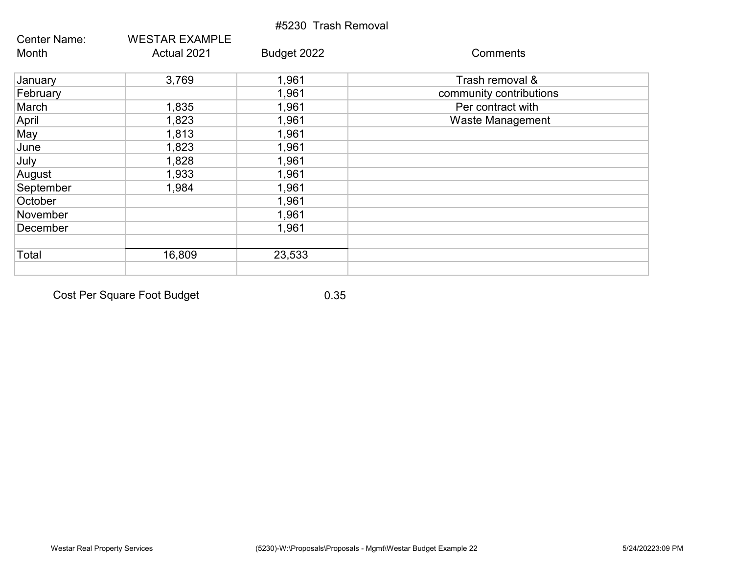|                     |                       | #5230 Trash Removal |                         |
|---------------------|-----------------------|---------------------|-------------------------|
| <b>Center Name:</b> | <b>WESTAR EXAMPLE</b> |                     |                         |
| Month               | Actual 2021           | Budget 2022         | Comments                |
| January             | 3,769                 | 1,961               | Trash removal &         |
| February            |                       | 1,961               | community contributions |
| March               | 1,835                 | 1,961               | Per contract with       |
| April               | 1,823                 | 1,961               | Waste Management        |
| May                 | 1,813                 | 1,961               |                         |
| June                | 1,823                 | 1,961               |                         |
| July                | 1,828                 | 1,961               |                         |
| August              | 1,933                 | 1,961               |                         |
| September           | 1,984                 | 1,961               |                         |
| October             |                       | 1,961               |                         |
| November            |                       | 1,961               |                         |
| December            |                       | 1,961               |                         |
| Total               | 16,809                | 23,533              |                         |
|                     |                       |                     |                         |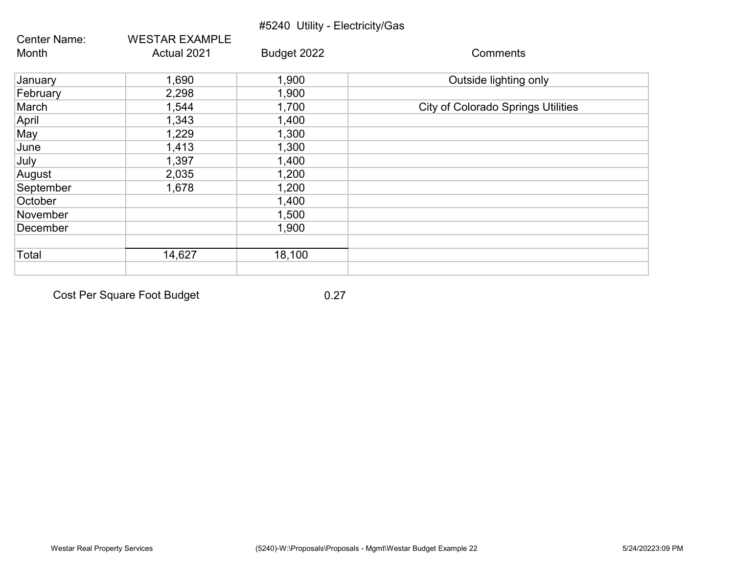|                     |                       | #5240 Utility - Electricity/Gas |                                           |
|---------------------|-----------------------|---------------------------------|-------------------------------------------|
| <b>Center Name:</b> | <b>WESTAR EXAMPLE</b> |                                 |                                           |
| Month               | Actual 2021           | Budget 2022                     | Comments                                  |
| January             | 1,690                 | 1,900                           | Outside lighting only                     |
| February            | 2,298                 | 1,900                           |                                           |
| March               | 1,544                 | 1,700                           | <b>City of Colorado Springs Utilities</b> |
| April               | 1,343                 | 1,400                           |                                           |
| May                 | 1,229                 | 1,300                           |                                           |
| June                | 1,413                 | 1,300                           |                                           |
| July                | 1,397                 | 1,400                           |                                           |
| August              | 2,035                 | 1,200                           |                                           |
| September           | 1,678                 | 1,200                           |                                           |
| October             |                       | 1,400                           |                                           |
| November            |                       | 1,500                           |                                           |
| December            |                       | 1,900                           |                                           |
| Total               | 14,627                | 18,100                          |                                           |
|                     |                       |                                 |                                           |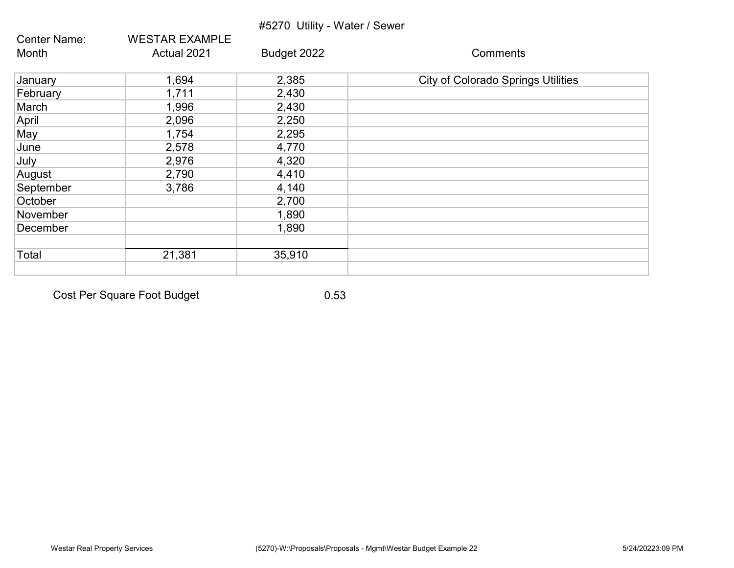|                     |                       | #5270 Utility - Water / Sewer |                                           |
|---------------------|-----------------------|-------------------------------|-------------------------------------------|
| <b>Center Name:</b> | <b>WESTAR EXAMPLE</b> |                               |                                           |
| Month               | Actual 2021           | Budget 2022                   | Comments                                  |
| January             | 1,694                 | 2,385                         | <b>City of Colorado Springs Utilities</b> |
| February            | 1,711                 | 2,430                         |                                           |
| March               | 1,996                 | 2,430                         |                                           |
| April               | 2,096                 | 2,250                         |                                           |
| May                 | 1,754                 | 2,295                         |                                           |
| June                | 2,578                 | 4,770                         |                                           |
| July                | 2,976                 | 4,320                         |                                           |
| August              | 2,790                 | 4,410                         |                                           |
| September           | 3,786                 | 4,140                         |                                           |
| October             |                       | 2,700                         |                                           |
| November            |                       | 1,890                         |                                           |
| December            |                       | 1,890                         |                                           |
| Total               | 21,381                | 35,910                        |                                           |
|                     |                       |                               |                                           |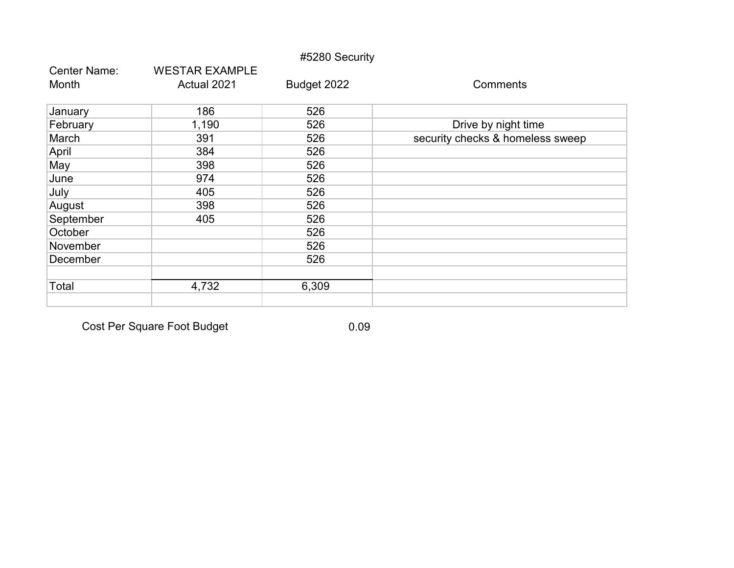|              |                       | #5280 Security |                                  |
|--------------|-----------------------|----------------|----------------------------------|
| Center Name: | <b>WESTAR EXAMPLE</b> |                |                                  |
| Month        | Actual 2021           | Budget 2022    | Comments                         |
| January      | 186                   | 526            |                                  |
| February     | 1,190                 | 526            | Drive by night time              |
| March        | 391                   | 526            | security checks & homeless sweep |
| April        | 384                   | 526            |                                  |
| May          | 398                   | 526            |                                  |
| June         | 974                   | 526            |                                  |
| July         | 405                   | 526            |                                  |
| August       | 398                   | 526            |                                  |
| September    | 405                   | 526            |                                  |
| October      |                       | 526            |                                  |
| November     |                       | 526            |                                  |
| December     |                       | 526            |                                  |
|              |                       |                |                                  |
| Total        | 4,732                 | 6,309          |                                  |
|              |                       |                |                                  |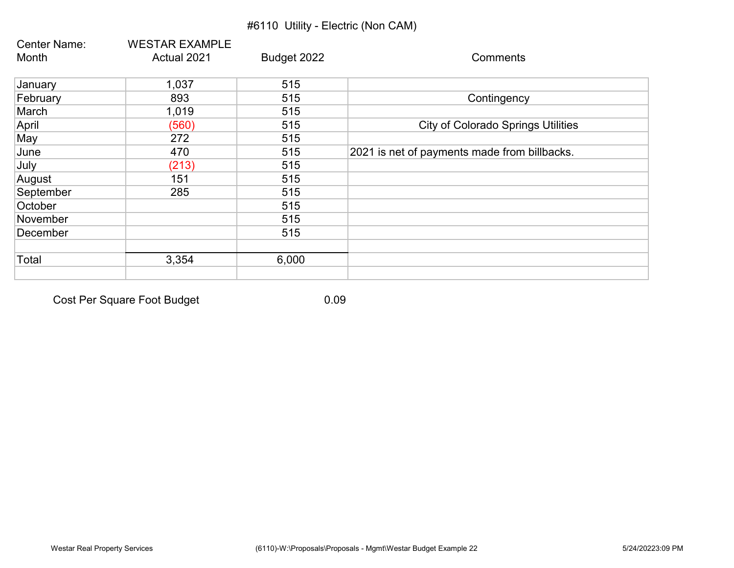## #6110 Utility - Electric (Non CAM)

| <b>Center Name:</b> | <b>WESTAR EXAMPLE</b> |             |                                              |
|---------------------|-----------------------|-------------|----------------------------------------------|
| Month               | Actual 2021           | Budget 2022 | Comments                                     |
| January             | 1,037                 | 515         |                                              |
| February            | 893                   | 515         | Contingency                                  |
| March               | 1,019                 | 515         |                                              |
| April               | (560)                 | 515         | <b>City of Colorado Springs Utilities</b>    |
| May                 | 272                   | 515         |                                              |
| June                | 470                   | 515         | 2021 is net of payments made from billbacks. |
| July                | (213)                 | 515         |                                              |
| August              | 151                   | 515         |                                              |
| September           | 285                   | 515         |                                              |
| October             |                       | 515         |                                              |
| November            |                       | 515         |                                              |
| December            |                       | 515         |                                              |
| Total               | 3,354                 | 6,000       |                                              |
|                     |                       |             |                                              |

Cost Per Square Foot Budget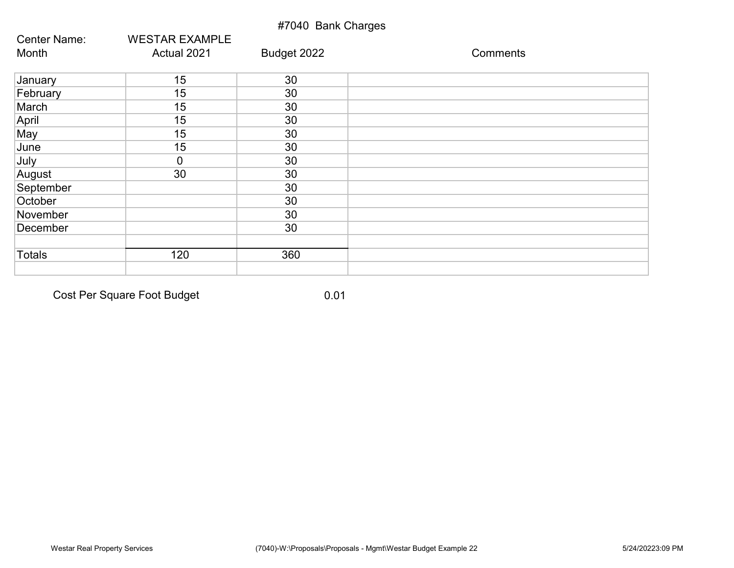## #7040 Bank Charges

| Center Name:  | <b>WESTAR EXAMPLE</b> |             |          |
|---------------|-----------------------|-------------|----------|
| Month         | Actual 2021           | Budget 2022 | Comments |
| January       | 15                    | 30          |          |
| February      | 15                    | 30          |          |
| March         | 15                    | 30          |          |
| April         | 15                    | 30          |          |
| May           | 15                    | 30          |          |
| June          | 15                    | 30          |          |
| July          | $\overline{0}$        | 30          |          |
| August        | 30                    | 30          |          |
| September     |                       | 30          |          |
| October       |                       | 30          |          |
| November      |                       | 30          |          |
| December      |                       | 30          |          |
| <b>Totals</b> | 120                   | 360         |          |
|               |                       |             |          |

Cost Per Square Foot Budget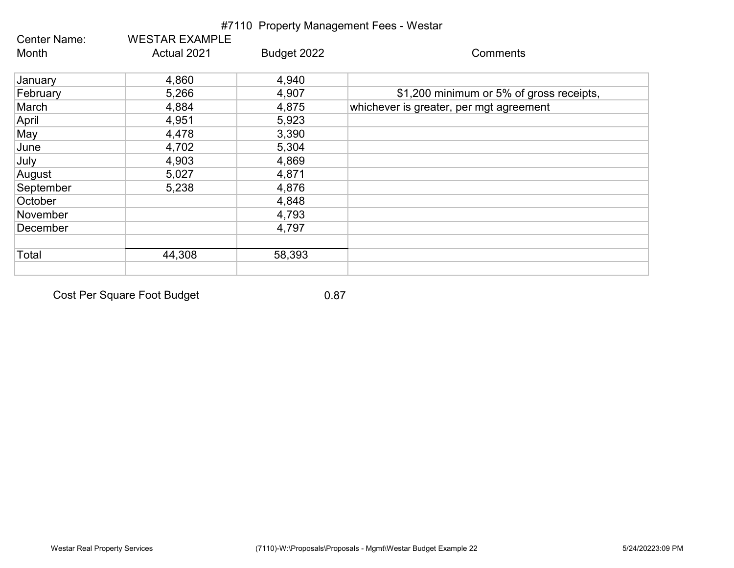| <b>Center Name:</b> | <b>WESTAR EXAMPLE</b> |             |                                          |
|---------------------|-----------------------|-------------|------------------------------------------|
| Month               | Actual 2021           | Budget 2022 | Comments                                 |
| January             | 4,860                 | 4,940       |                                          |
| February            | 5,266                 | 4,907       | \$1,200 minimum or 5% of gross receipts, |
| March               | 4,884                 | 4,875       | whichever is greater, per mgt agreement  |
| April               | 4,951                 | 5,923       |                                          |
| May                 | 4,478                 | 3,390       |                                          |
| June                | 4,702                 | 5,304       |                                          |
| July                | 4,903                 | 4,869       |                                          |
| August              | 5,027                 | 4,871       |                                          |
| September           | 5,238                 | 4,876       |                                          |
| October             |                       | 4,848       |                                          |
| November            |                       | 4,793       |                                          |
| December            |                       | 4,797       |                                          |
| Total               | 44,308                | 58,393      |                                          |
|                     |                       |             |                                          |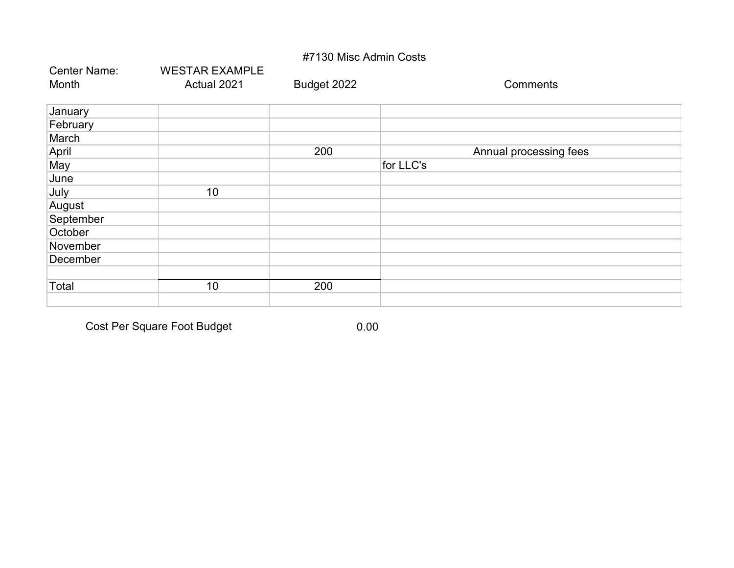#### #7130 Misc Admin Costs

| <b>Center Name:</b> | <b>WESTAR EXAMPLE</b> |             |                        |
|---------------------|-----------------------|-------------|------------------------|
| Month               | Actual 2021           | Budget 2022 | <b>Comments</b>        |
| January             |                       |             |                        |
| February            |                       |             |                        |
| March               |                       |             |                        |
| April               |                       | 200         | Annual processing fees |
| May                 |                       |             | for LLC's              |
| June                |                       |             |                        |
| July                | 10                    |             |                        |
| August              |                       |             |                        |
| September           |                       |             |                        |
| October             |                       |             |                        |
| November            |                       |             |                        |
| December            |                       |             |                        |
|                     |                       |             |                        |
| Total               | 10                    | 200         |                        |
|                     |                       |             |                        |

Cost Per Square Foot Budget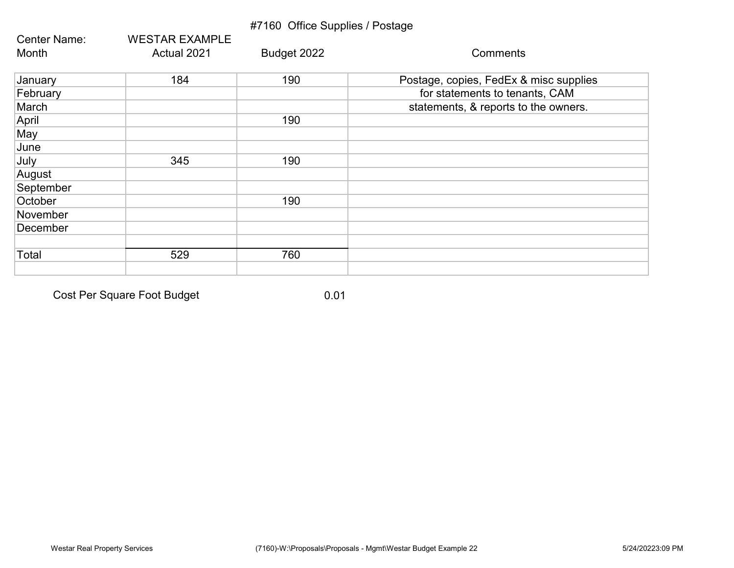## #7160 Office Supplies / Postage

| Center Name: | <b>WESTAR EXAMPLE</b> |             |                                        |
|--------------|-----------------------|-------------|----------------------------------------|
| Month        | Actual 2021           | Budget 2022 | Comments                               |
| January      | 184                   | 190         | Postage, copies, FedEx & misc supplies |
| February     |                       |             | for statements to tenants, CAM         |
| March        |                       |             | statements, & reports to the owners.   |
| April        |                       | 190         |                                        |
| May          |                       |             |                                        |
| June         |                       |             |                                        |
| July         | 345                   | 190         |                                        |
| August       |                       |             |                                        |
| September    |                       |             |                                        |
| October      |                       | 190         |                                        |
| November     |                       |             |                                        |
| December     |                       |             |                                        |
|              |                       |             |                                        |
| Total        | 529                   | 760         |                                        |
|              |                       |             |                                        |

Cost Per Square Foot Budget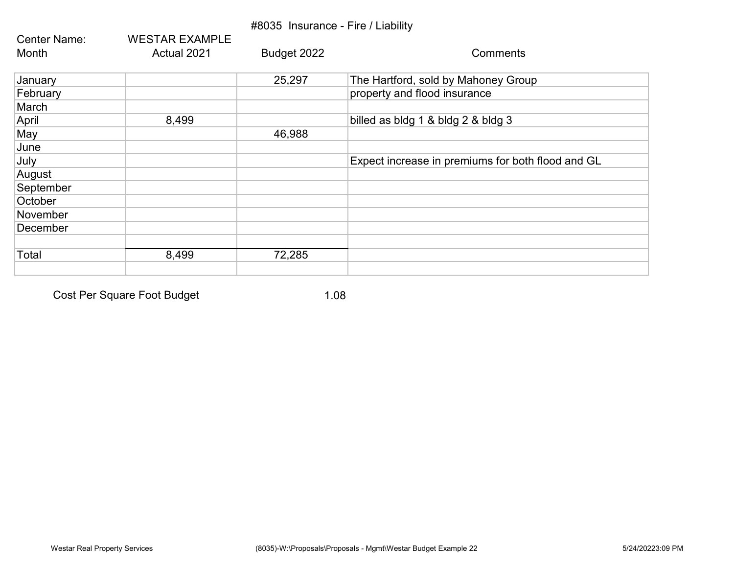## #8035 Insurance - Fire / Liability

| Center Name: | <b>WESTAR EXAMPLE</b> |             |                                                   |
|--------------|-----------------------|-------------|---------------------------------------------------|
| Month        | Actual 2021           | Budget 2022 | Comments                                          |
| January      |                       | 25,297      | The Hartford, sold by Mahoney Group               |
| February     |                       |             | property and flood insurance                      |
| March        |                       |             |                                                   |
| April        | 8,499                 |             | billed as bldg 1 & bldg 2 & bldg 3                |
| May          |                       | 46,988      |                                                   |
| June         |                       |             |                                                   |
| July         |                       |             | Expect increase in premiums for both flood and GL |
| August       |                       |             |                                                   |
| September    |                       |             |                                                   |
| October      |                       |             |                                                   |
| November     |                       |             |                                                   |
| December     |                       |             |                                                   |
|              |                       |             |                                                   |
| Total        | 8,499                 | 72,285      |                                                   |
|              |                       |             |                                                   |

Cost Per Square Foot Budget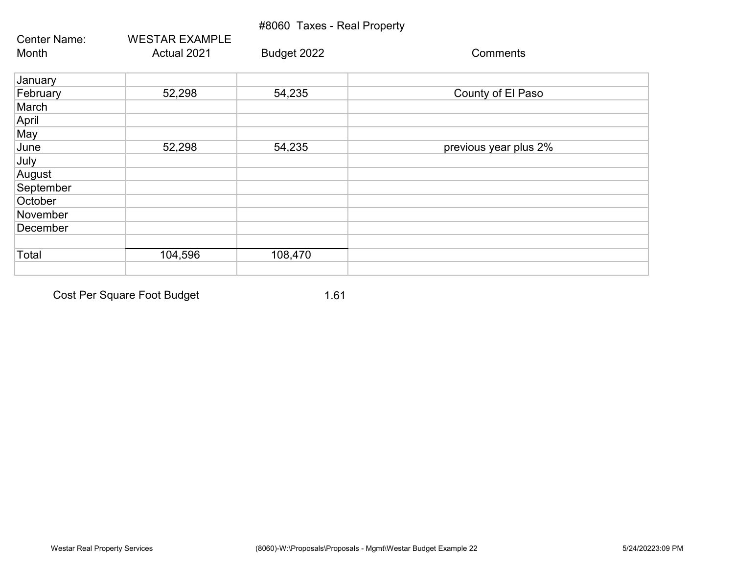## #8060 Taxes - Real Property

| <b>Center Name:</b> | <b>WESTAR EXAMPLE</b> |             |                       |
|---------------------|-----------------------|-------------|-----------------------|
| Month               | Actual 2021           | Budget 2022 | Comments              |
| January             |                       |             |                       |
| February            | 52,298                | 54,235      | County of El Paso     |
| March               |                       |             |                       |
| April               |                       |             |                       |
| May                 |                       |             |                       |
| June                | 52,298                | 54,235      | previous year plus 2% |
| July                |                       |             |                       |
| August              |                       |             |                       |
| September           |                       |             |                       |
| October             |                       |             |                       |
| November            |                       |             |                       |
| December            |                       |             |                       |
|                     |                       |             |                       |
| Total               | 104,596               | 108,470     |                       |
|                     |                       |             |                       |

Cost Per Square Foot Budget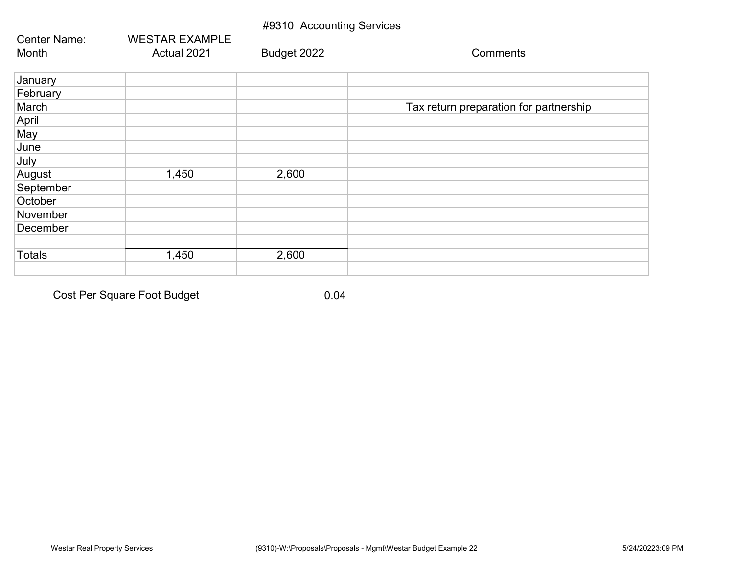#### #9310 Accounting Services

| <b>Center Name:</b> | <b>WESTAR EXAMPLE</b> |             |                                        |
|---------------------|-----------------------|-------------|----------------------------------------|
| Month               | Actual 2021           | Budget 2022 | Comments                               |
| January             |                       |             |                                        |
| February            |                       |             |                                        |
| March               |                       |             | Tax return preparation for partnership |
| April               |                       |             |                                        |
| May                 |                       |             |                                        |
| June                |                       |             |                                        |
| July                |                       |             |                                        |
| August              | 1,450                 | 2,600       |                                        |
| September           |                       |             |                                        |
| October             |                       |             |                                        |
| November            |                       |             |                                        |
| December            |                       |             |                                        |
|                     |                       |             |                                        |
| <b>Totals</b>       | 1,450                 | 2,600       |                                        |
|                     |                       |             |                                        |

Cost Per Square Foot Budget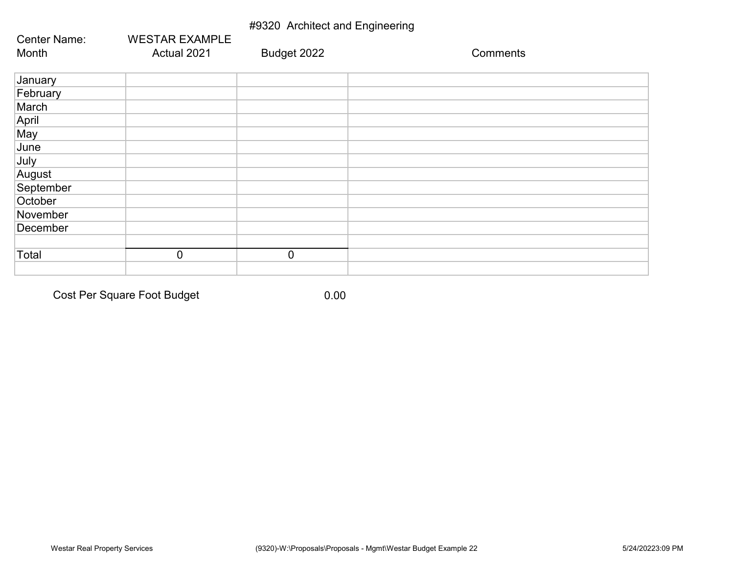## #9320 Architect and Engineering

| <b>Center Name:</b> | <b>WESTAR EXAMPLE</b> |                |          |
|---------------------|-----------------------|----------------|----------|
| Month               | Actual 2021           | Budget 2022    | Comments |
| January             |                       |                |          |
| February            |                       |                |          |
| March               |                       |                |          |
| April               |                       |                |          |
| May                 |                       |                |          |
| June                |                       |                |          |
| July                |                       |                |          |
| August              |                       |                |          |
| September           |                       |                |          |
| October             |                       |                |          |
| November            |                       |                |          |
| December            |                       |                |          |
|                     |                       |                |          |
| Total               | $\overline{0}$        | $\overline{0}$ |          |
|                     |                       |                |          |

Cost Per Square Foot Budget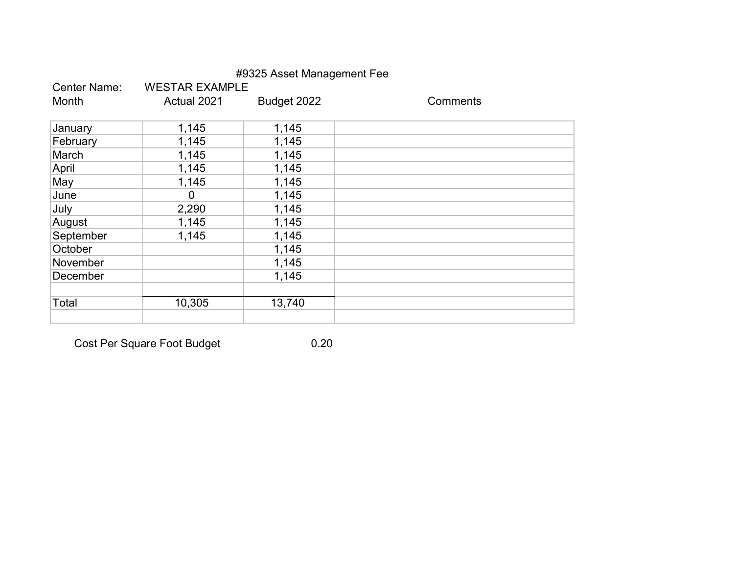|                     |                       | #9325 Asset Management Fee |          |
|---------------------|-----------------------|----------------------------|----------|
| <b>Center Name:</b> | <b>WESTAR EXAMPLE</b> |                            |          |
| Month               | Actual 2021           | Budget 2022                | Comments |
|                     |                       |                            |          |
| January             | 1,145                 | 1,145                      |          |
| February            | 1,145                 | 1,145                      |          |
| March               | 1,145                 | 1,145                      |          |
| April               | 1,145                 | 1,145                      |          |
| May                 | 1,145                 | 1,145                      |          |
| June                | 0                     | 1,145                      |          |
| July                | 2,290                 | 1,145                      |          |
| August              | 1,145                 | 1,145                      |          |
| September           | 1,145                 | 1,145                      |          |
| October             |                       | 1,145                      |          |
| November            |                       | 1,145                      |          |
| December            |                       | 1,145                      |          |
|                     |                       |                            |          |
| Total               | 10,305                | 13,740                     |          |
|                     |                       |                            |          |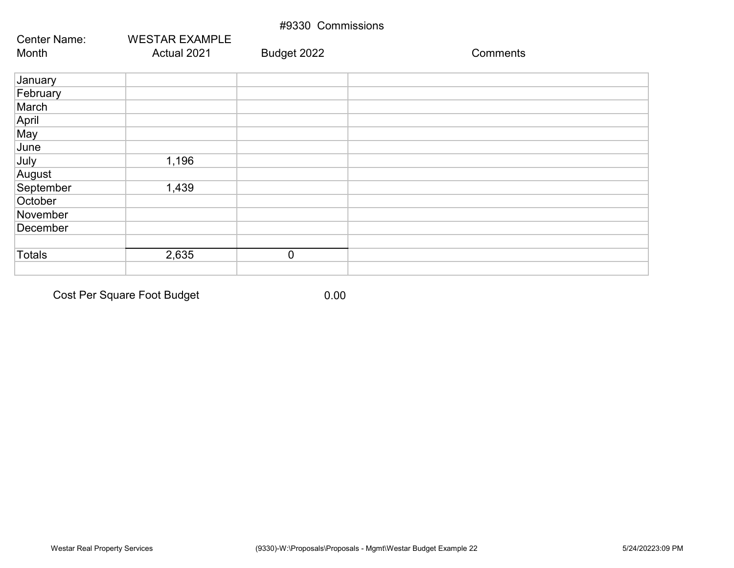| #9330 Commissions   |                       |             |          |  |
|---------------------|-----------------------|-------------|----------|--|
| <b>Center Name:</b> | <b>WESTAR EXAMPLE</b> |             |          |  |
| Month               | Actual 2021           | Budget 2022 | Comments |  |
| January             |                       |             |          |  |
| February            |                       |             |          |  |
| March               |                       |             |          |  |
| April               |                       |             |          |  |
| May                 |                       |             |          |  |
| June                |                       |             |          |  |
| July                | 1,196                 |             |          |  |
| August              |                       |             |          |  |
| September           | 1,439                 |             |          |  |
| October             |                       |             |          |  |
| November            |                       |             |          |  |
| December            |                       |             |          |  |
|                     |                       |             |          |  |
| Totals              | 2,635                 | $\mathbf 0$ |          |  |
|                     |                       |             |          |  |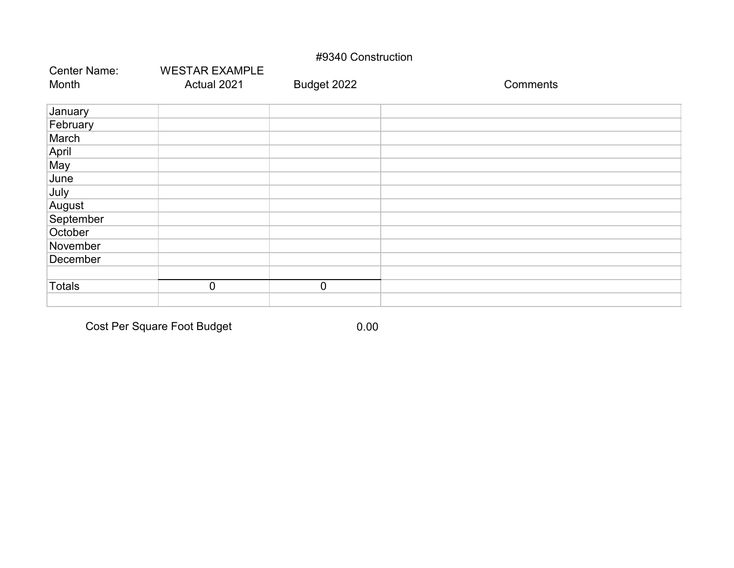#### #9340 Construction

| <b>Center Name:</b> | <b>WESTAR EXAMPLE</b> |             |          |
|---------------------|-----------------------|-------------|----------|
| Month               | Actual 2021           | Budget 2022 | Comments |
| January             |                       |             |          |
| February            |                       |             |          |
| March               |                       |             |          |
| April               |                       |             |          |
| May                 |                       |             |          |
| June                |                       |             |          |
| July                |                       |             |          |
| August              |                       |             |          |
| September           |                       |             |          |
| October             |                       |             |          |
| November            |                       |             |          |
| December            |                       |             |          |
|                     |                       |             |          |
| <b>Totals</b>       | $\overline{0}$        | $\mathbf 0$ |          |
|                     |                       |             |          |

Cost Per Square Foot Budget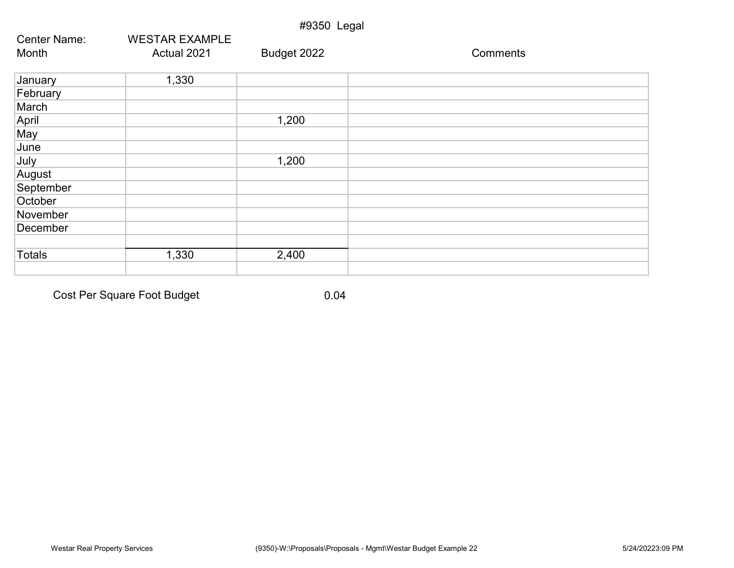| #9350 Legal         |                       |             |          |  |
|---------------------|-----------------------|-------------|----------|--|
| <b>Center Name:</b> | <b>WESTAR EXAMPLE</b> |             |          |  |
| Month               | Actual 2021           | Budget 2022 | Comments |  |
| January             | 1,330                 |             |          |  |
| February            |                       |             |          |  |
| March               |                       |             |          |  |
| April               |                       | 1,200       |          |  |
| May                 |                       |             |          |  |
| June                |                       |             |          |  |
| July                |                       | 1,200       |          |  |
| August              |                       |             |          |  |
| September           |                       |             |          |  |
| October             |                       |             |          |  |
| November            |                       |             |          |  |
| December            |                       |             |          |  |
| <b>Totals</b>       | 1,330                 | 2,400       |          |  |
|                     |                       |             |          |  |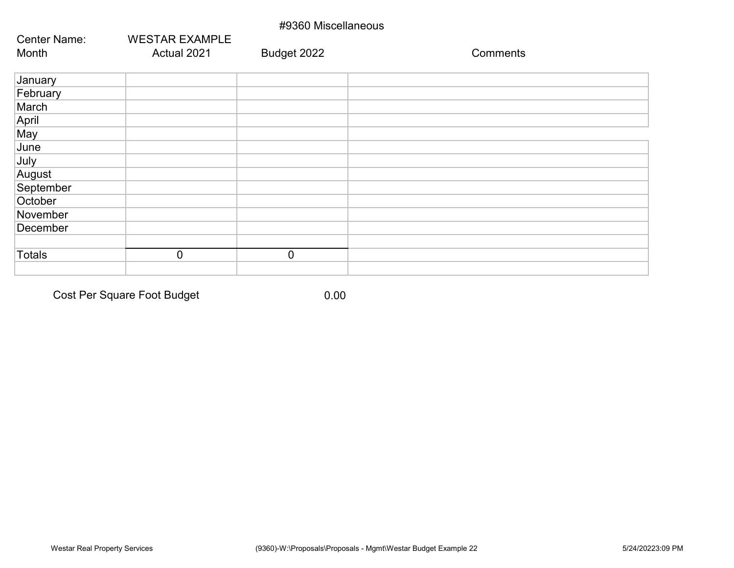| #9360 Miscellaneous |                       |             |          |  |
|---------------------|-----------------------|-------------|----------|--|
| <b>Center Name:</b> | <b>WESTAR EXAMPLE</b> |             |          |  |
| Month               | Actual 2021           | Budget 2022 | Comments |  |
|                     |                       |             |          |  |
| January             |                       |             |          |  |
| February            |                       |             |          |  |
| March               |                       |             |          |  |
| April               |                       |             |          |  |
| May                 |                       |             |          |  |
| June                |                       |             |          |  |
| July                |                       |             |          |  |
| August              |                       |             |          |  |
| September           |                       |             |          |  |
| October             |                       |             |          |  |
| November            |                       |             |          |  |
| December            |                       |             |          |  |
|                     |                       |             |          |  |
| <b>Totals</b>       | $\mathbf 0$           | $\mathbf 0$ |          |  |
|                     |                       |             |          |  |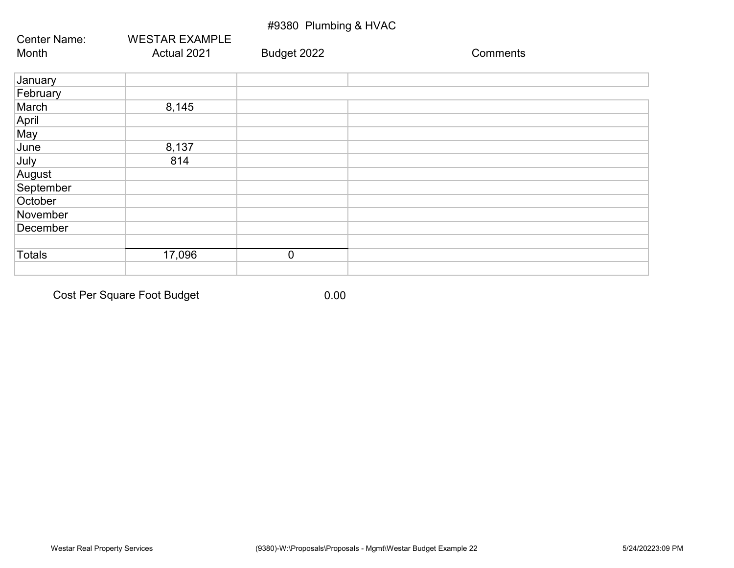## #9380 Plumbing & HVAC

| Center Name:  | <b>WESTAR EXAMPLE</b> |             |          |
|---------------|-----------------------|-------------|----------|
| Month         | Actual 2021           | Budget 2022 | Comments |
| January       |                       |             |          |
| February      |                       |             |          |
| March         | 8,145                 |             |          |
| April         |                       |             |          |
| May           |                       |             |          |
| June          | 8,137                 |             |          |
| July          | 814                   |             |          |
| August        |                       |             |          |
| September     |                       |             |          |
| October       |                       |             |          |
| November      |                       |             |          |
| December      |                       |             |          |
|               |                       |             |          |
| <b>Totals</b> | 17,096                | $\mathbf 0$ |          |
|               |                       |             |          |

Cost Per Square Foot Budget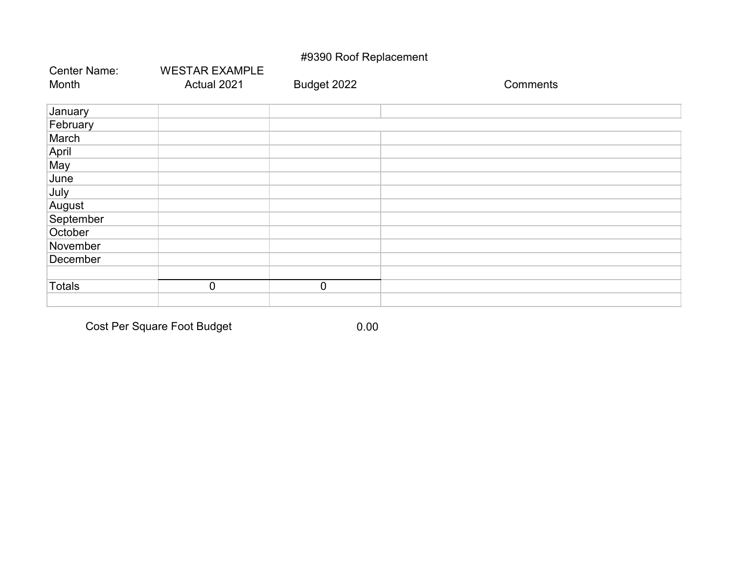# #9390 Roof Replacement

| <b>Center Name:</b> | <b>WESTAR EXAMPLE</b> |             |          |
|---------------------|-----------------------|-------------|----------|
| Month               | Actual 2021           | Budget 2022 | Comments |
| January             |                       |             |          |
| February            |                       |             |          |
| March               |                       |             |          |
| April               |                       |             |          |
| May                 |                       |             |          |
| June                |                       |             |          |
| July                |                       |             |          |
| August              |                       |             |          |
| September           |                       |             |          |
| October             |                       |             |          |
| November            |                       |             |          |
| December            |                       |             |          |
|                     |                       |             |          |
| <b>Totals</b>       | $\mathbf 0$           | $\mathbf 0$ |          |
|                     |                       |             |          |

Cost Per Square Foot Budget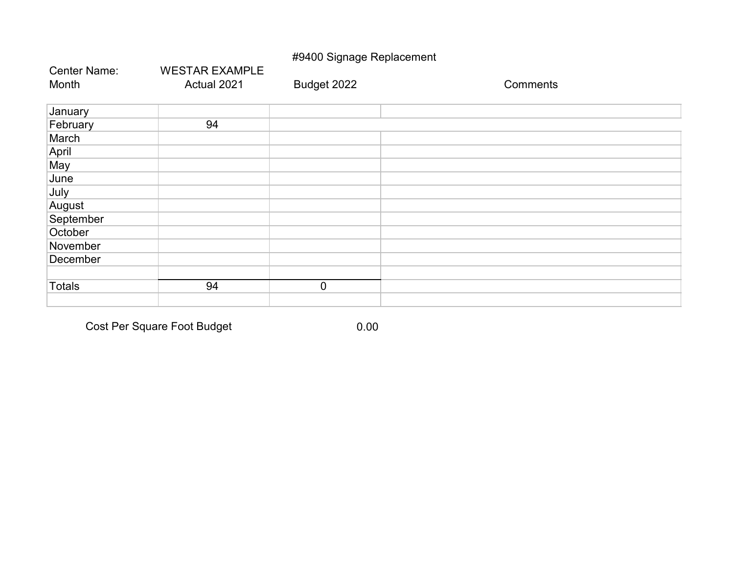# #9400 Signage Replacement

| <b>Center Name:</b> | <b>WESTAR EXAMPLE</b> |             |          |
|---------------------|-----------------------|-------------|----------|
| Month               | Actual 2021           | Budget 2022 | Comments |
| January             |                       |             |          |
| February            | 94                    |             |          |
| March               |                       |             |          |
| April               |                       |             |          |
| May                 |                       |             |          |
| June                |                       |             |          |
| July                |                       |             |          |
| August              |                       |             |          |
| September           |                       |             |          |
| October             |                       |             |          |
| November            |                       |             |          |
| December            |                       |             |          |
|                     |                       |             |          |

Totals 0

Cost Per Square Foot Budget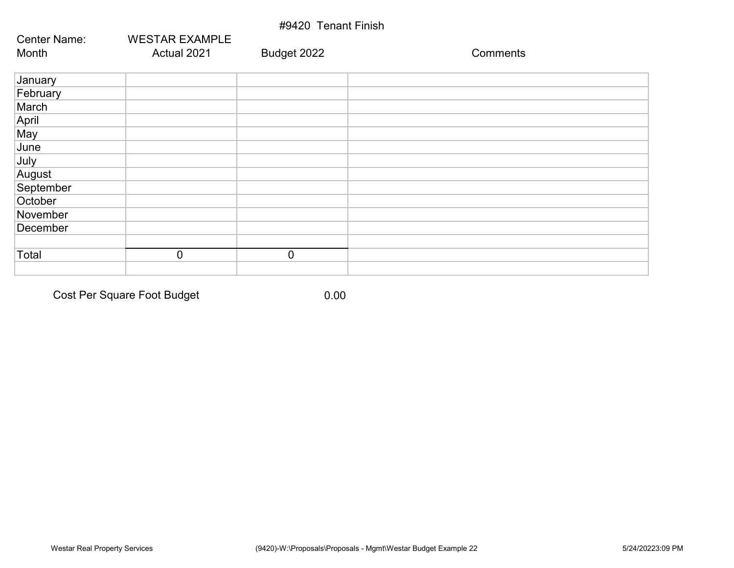| #9420 Tenant Finish |                       |             |          |  |  |  |
|---------------------|-----------------------|-------------|----------|--|--|--|
| <b>Center Name:</b> | <b>WESTAR EXAMPLE</b> |             |          |  |  |  |
| Month               | Actual 2021           | Budget 2022 | Comments |  |  |  |
| January             |                       |             |          |  |  |  |
| February            |                       |             |          |  |  |  |
| March               |                       |             |          |  |  |  |
| April               |                       |             |          |  |  |  |
| May                 |                       |             |          |  |  |  |
| June                |                       |             |          |  |  |  |
| July                |                       |             |          |  |  |  |
| August              |                       |             |          |  |  |  |
| September           |                       |             |          |  |  |  |
| October             |                       |             |          |  |  |  |
| November            |                       |             |          |  |  |  |
| December            |                       |             |          |  |  |  |
|                     |                       |             |          |  |  |  |
| Total               | $\mathbf 0$           | $\mathbf 0$ |          |  |  |  |
|                     |                       |             |          |  |  |  |